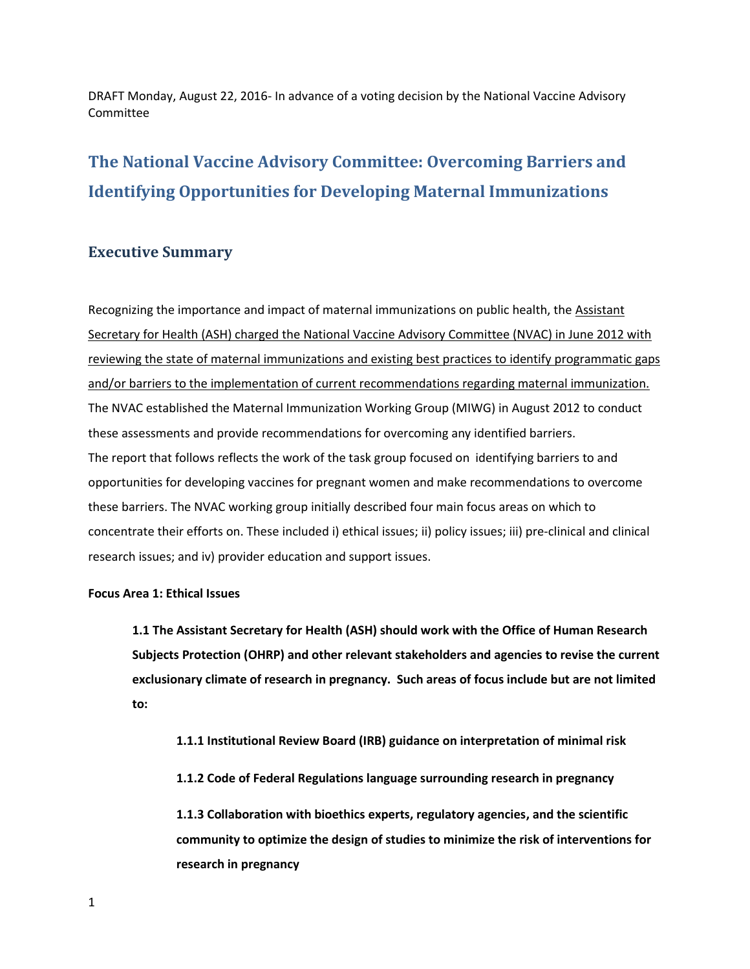# **The National Vaccine Advisory Committee: Overcoming Barriers and Identifying Opportunities for Developing Maternal Immunizations**

# **Executive Summary**

 these barriers. The NVAC working group initially described four main focus areas on which to Recognizing the importance and impact of maternal immunizations on public health, the Assistant Secretary for Health (ASH) charged the National Vaccine Advisory Committee (NVAC) in June 2012 with reviewing the state of maternal immunizations and existing best practices to identify programmatic gaps and/or barriers to the implementation of current recommendations regarding maternal immunization. The NVAC established the Maternal Immunization Working Group (MIWG) in August 2012 to conduct these assessments and provide recommendations for overcoming any identified barriers. The report that follows reflects the work of the task group focused on identifying barriers to and opportunities for developing vaccines for pregnant women and make recommendations to overcome concentrate their efforts on. These included i) ethical issues; ii) policy issues; iii) pre-clinical and clinical research issues; and iv) provider education and support issues.

#### **Focus Area 1: Ethical Issues**

 **exclusionary climate of research in pregnancy. Such areas of focus include but are not limited 1.1 The Assistant Secretary for Health (ASH) should work with the Office of Human Research Subjects Protection (OHRP) and other relevant stakeholders and agencies to revise the current to:** 

 **1.1.1 Institutional Review Board (IRB) guidance on interpretation of minimal risk** 

 **1.1.2 Code of Federal Regulations language surrounding research in pregnancy** 

**1.1.3 Collaboration with bioethics experts, regulatory agencies, and the scientific community to optimize the design of studies to minimize the risk of interventions for research in pregnancy**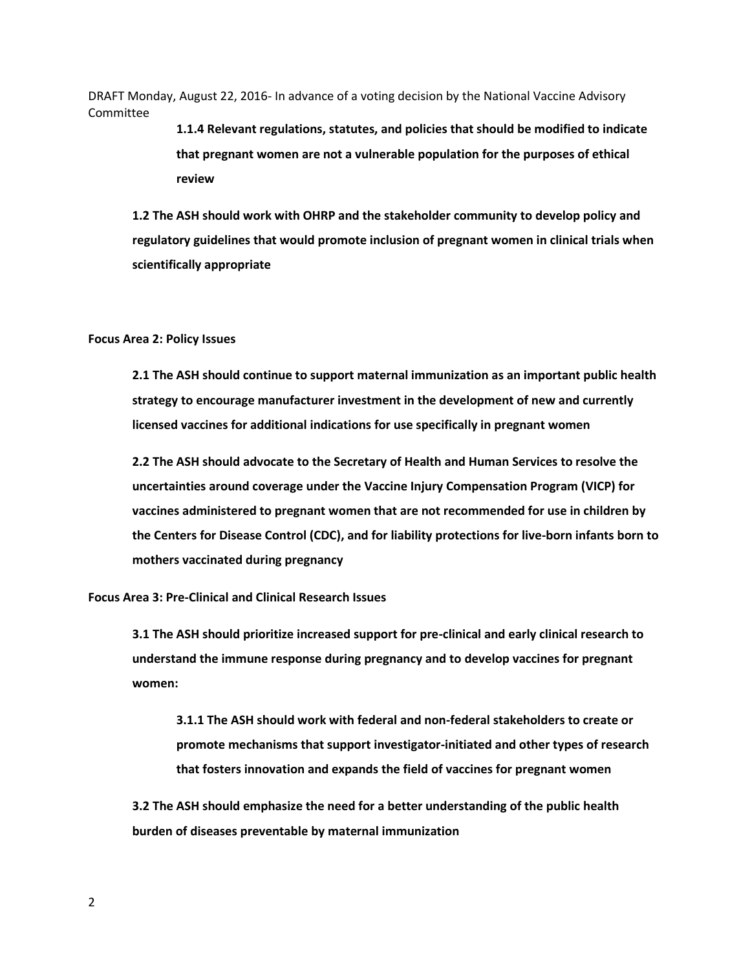> **review 1.1.4 Relevant regulations, statutes, and policies that should be modified to indicate that pregnant women are not a vulnerable population for the purposes of ethical**

 **review 1.2 The ASH should work with OHRP and the stakeholder community to develop policy and regulatory guidelines that would promote inclusion of pregnant women in clinical trials when scientifically appropriate** 

#### **Focus Area 2: Policy Issues**

**2.1 The ASH should continue to support maternal immunization as an important public health strategy to encourage manufacturer investment in the development of new and currently licensed vaccines for additional indications for use specifically in pregnant women** 

**2.2 The ASH should advocate to the Secretary of Health and Human Services to resolve the uncertainties around coverage under the Vaccine Injury Compensation Program (VICP) for vaccines administered to pregnant women that are not recommended for use in children by the Centers for Disease Control (CDC), and for liability protections for live-born infants born to mothers vaccinated during pregnancy** 

**Focus Area 3: Pre-Clinical and Clinical Research Issues** 

**3.1 The ASH should prioritize increased support for pre-clinical and early clinical research to understand the immune response during pregnancy and to develop vaccines for pregnant women:** 

**3.1.1 The ASH should work with federal and non-federal stakeholders to create or promote mechanisms that support investigator-initiated and other types of research that fosters innovation and expands the field of vaccines for pregnant women** 

**3.2 The ASH should emphasize the need for a better understanding of the public health burden of diseases preventable by maternal immunization**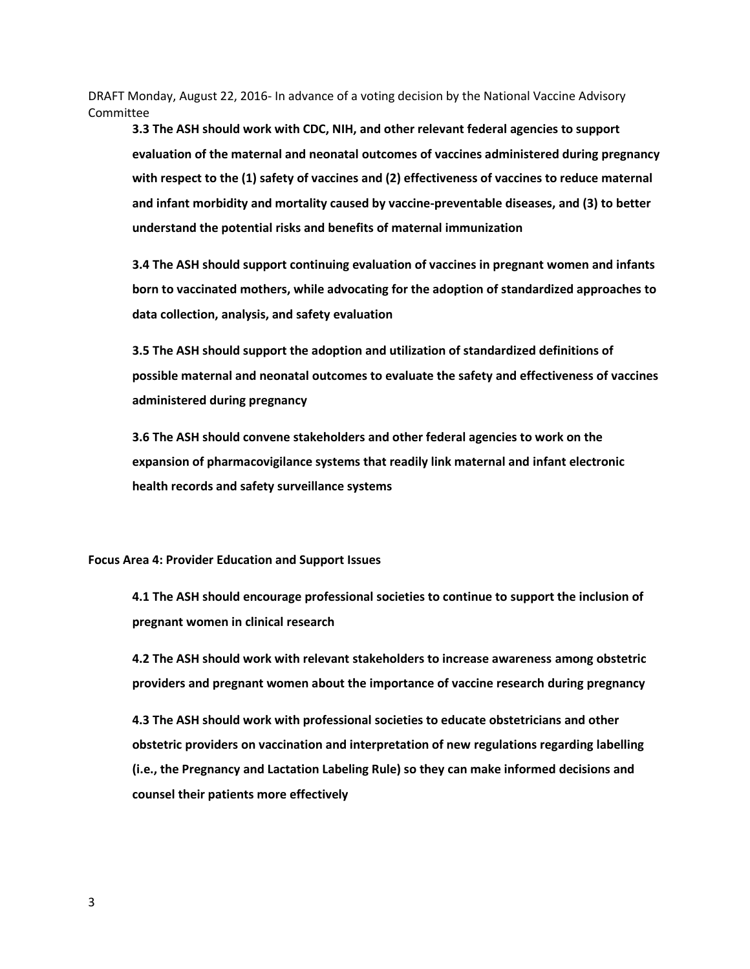**3.3 The ASH should work with CDC, NIH, and other relevant federal agencies to support evaluation of the maternal and neonatal outcomes of vaccines administered during pregnancy with respect to the (1) safety of vaccines and (2) effectiveness of vaccines to reduce maternal and infant morbidity and mortality caused by vaccine-preventable diseases, and (3) to better understand the potential risks and benefits of maternal immunization** 

**3.4 The ASH should support continuing evaluation of vaccines in pregnant women and infants born to vaccinated mothers, while advocating for the adoption of standardized approaches to data collection, analysis, and safety evaluation** 

**3.5 The ASH should support the adoption and utilization of standardized definitions of possible maternal and neonatal outcomes to evaluate the safety and effectiveness of vaccines administered during pregnancy** 

**3.6 The ASH should convene stakeholders and other federal agencies to work on the expansion of pharmacovigilance systems that readily link maternal and infant electronic health records and safety surveillance systems** 

#### **Focus Area 4: Provider Education and Support Issues**

**4.1 The ASH should encourage professional societies to continue to support the inclusion of pregnant women in clinical research** 

**4.2 The ASH should work with relevant stakeholders to increase awareness among obstetric providers and pregnant women about the importance of vaccine research during pregnancy** 

**4.3 The ASH should work with professional societies to educate obstetricians and other obstetric providers on vaccination and interpretation of new regulations regarding labelling (i.e., the Pregnancy and Lactation Labeling Rule) so they can make informed decisions and counsel their patients more effectively**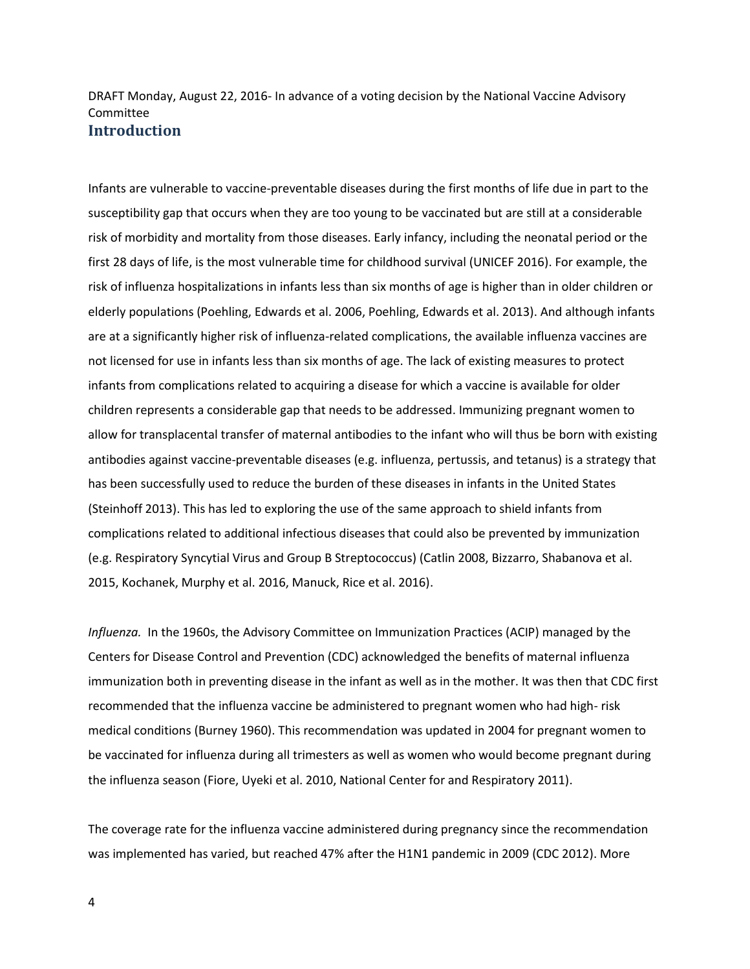Infants are vulnerable to vaccine-preventable diseases during the first months of life due in part to the susceptibility gap that occurs when they are too young to be vaccinated but are still at a considerable risk of morbidity and mortality from those diseases. Early infancy, including the neonatal period or the first 28 days of life, is the most vulnerable time for childhood survival (UNICEF 2016). For example, the risk of influenza hospitalizations in infants less than six months of age is higher than in older children or elderly populations (Poehling, Edwards et al. 2006, Poehling, Edwards et al. 2013). And although infants are at a significantly higher risk of influenza-related complications, the available influenza vaccines are not licensed for use in infants less than six months of age. The lack of existing measures to protect infants from complications related to acquiring a disease for which a vaccine is available for older children represents a considerable gap that needs to be addressed. Immunizing pregnant women to allow for transplacental transfer of maternal antibodies to the infant who will thus be born with existing antibodies against vaccine-preventable diseases (e.g. influenza, pertussis, and tetanus) is a strategy that has been successfully used to reduce the burden of these diseases in infants in the United States (Steinhoff 2013). This has led to exploring the use of the same approach to shield infants from complications related to additional infectious diseases that could also be prevented by immunization (e.g. Respiratory Syncytial Virus and Group B Streptococcus) (Catlin 2008, Bizzarro, Shabanova et al. 2015, Kochanek, Murphy et al. 2016, Manuck, Rice et al. 2016).

*Influenza.* In the 1960s, the Advisory Committee on Immunization Practices (ACIP) managed by the Centers for Disease Control and Prevention (CDC) acknowledged the benefits of maternal influenza immunization both in preventing disease in the infant as well as in the mother. It was then that CDC first recommended that the influenza vaccine be administered to pregnant women who had high- risk medical conditions (Burney 1960). This recommendation was updated in 2004 for pregnant women to be vaccinated for influenza during all trimesters as well as women who would become pregnant during the influenza season (Fiore, Uyeki et al. 2010, National Center for and Respiratory 2011).

The coverage rate for the influenza vaccine administered during pregnancy since the recommendation was implemented has varied, but reached 47% after the H1N1 pandemic in 2009 (CDC 2012). More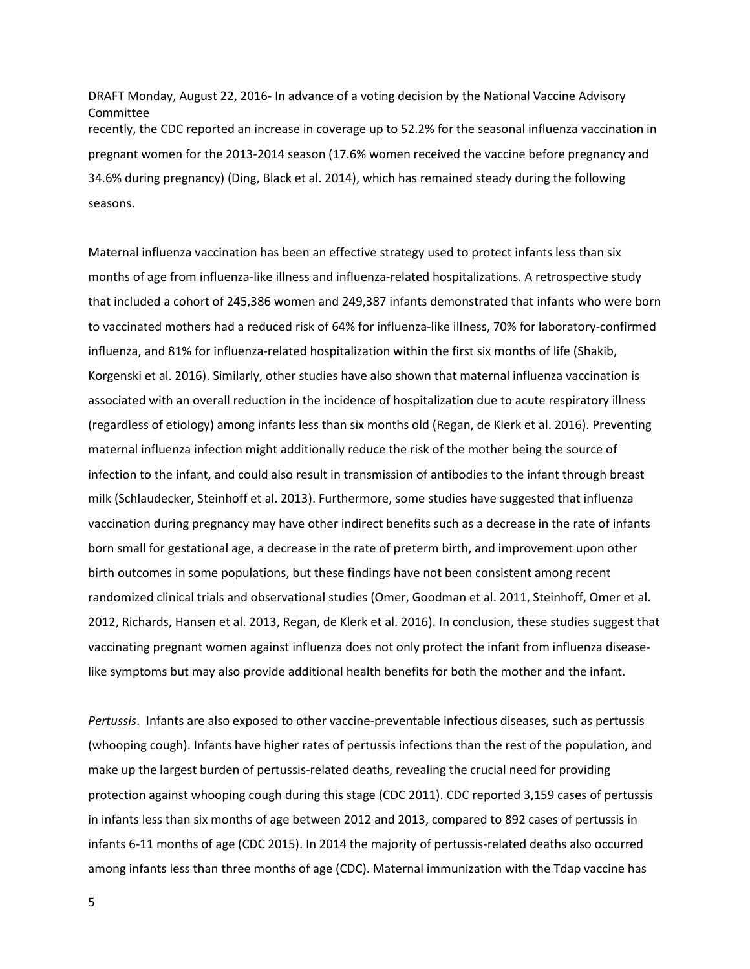recently, the CDC reported an increase in coverage up to 52.2% for the seasonal influenza vaccination in pregnant women for the 2013-2014 season (17.6% women received the vaccine before pregnancy and DRAFT Monday, August 22, 2016- In advance of a voting decision by the National Vaccine Advisory Committee 34.6% during pregnancy) (Ding, Black et al. 2014), which has remained steady during the following seasons.

 that included a cohort of 245,386 women and 249,387 infants demonstrated that infants who were born to vaccinated mothers had a reduced risk of 64% for influenza-like illness, 70% for laboratory-confirmed randomized clinical trials and observational studies (Omer, Goodman et al. 2011, Steinhoff, Omer et al. Maternal influenza vaccination has been an effective strategy used to protect infants less than six months of age from influenza-like illness and influenza-related hospitalizations. A retrospective study influenza, and 81% for influenza-related hospitalization within the first six months of life (Shakib, Korgenski et al. 2016). Similarly, other studies have also shown that maternal influenza vaccination is associated with an overall reduction in the incidence of hospitalization due to acute respiratory illness (regardless of etiology) among infants less than six months old (Regan, de Klerk et al. 2016). Preventing maternal influenza infection might additionally reduce the risk of the mother being the source of infection to the infant, and could also result in transmission of antibodies to the infant through breast milk (Schlaudecker, Steinhoff et al. 2013). Furthermore, some studies have suggested that influenza vaccination during pregnancy may have other indirect benefits such as a decrease in the rate of infants born small for gestational age, a decrease in the rate of preterm birth, and improvement upon other birth outcomes in some populations, but these findings have not been consistent among recent 2012, Richards, Hansen et al. 2013, Regan, de Klerk et al. 2016). In conclusion, these studies suggest that vaccinating pregnant women against influenza does not only protect the infant from influenza diseaselike symptoms but may also provide additional health benefits for both the mother and the infant.

 *Pertussis*. Infants are also exposed to other vaccine-preventable infectious diseases, such as pertussis (whooping cough). Infants have higher rates of pertussis infections than the rest of the population, and make up the largest burden of pertussis-related deaths, revealing the crucial need for providing protection against whooping cough during this stage (CDC 2011). CDC reported 3,159 cases of pertussis in infants less than six months of age between 2012 and 2013, compared to 892 cases of pertussis in infants 6-11 months of age (CDC 2015). In 2014 the majority of pertussis-related deaths also occurred among infants less than three months of age (CDC). Maternal immunization with the Tdap vaccine has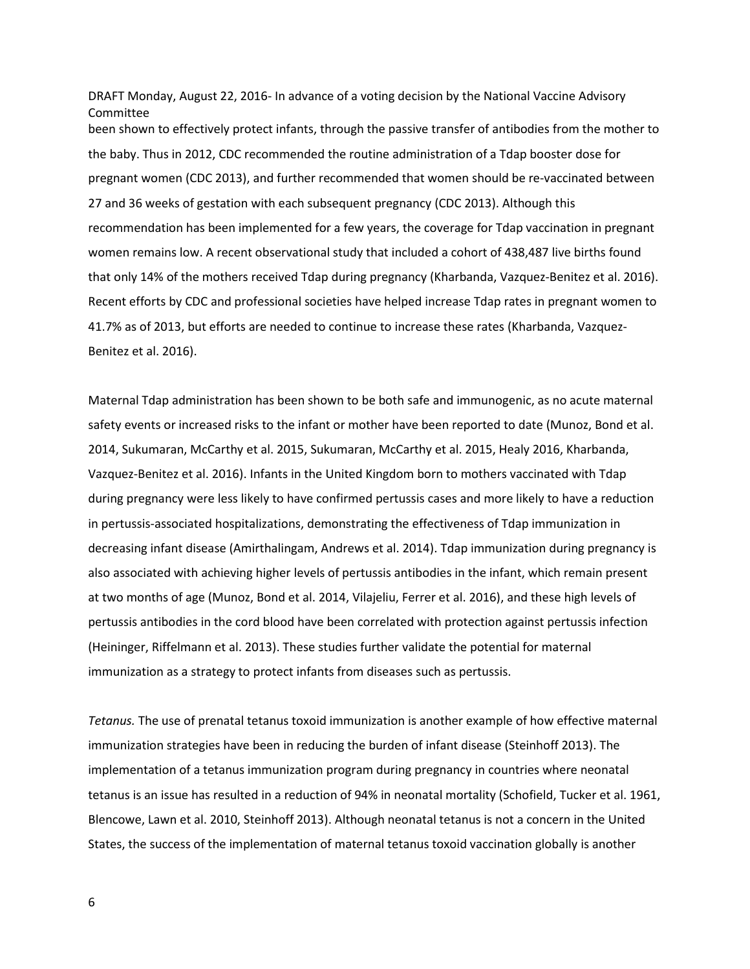been shown to effectively protect infants, through the passive transfer of antibodies from the mother to DRAFT Monday, August 22, 2016- In advance of a voting decision by the National Vaccine Advisory Committee the baby. Thus in 2012, CDC recommended the routine administration of a Tdap booster dose for pregnant women (CDC 2013), and further recommended that women should be re-vaccinated between 27 and 36 weeks of gestation with each subsequent pregnancy (CDC 2013). Although this recommendation has been implemented for a few years, the coverage for Tdap vaccination in pregnant women remains low. A recent observational study that included a cohort of 438,487 live births found that only 14% of the mothers received Tdap during pregnancy (Kharbanda, Vazquez-Benitez et al. 2016). Recent efforts by CDC and professional societies have helped increase Tdap rates in pregnant women to 41.7% as of 2013, but efforts are needed to continue to increase these rates (Kharbanda, Vazquez-Benitez et al. 2016).

Maternal Tdap administration has been shown to be both safe and immunogenic, as no acute maternal safety events or increased risks to the infant or mother have been reported to date (Munoz, Bond et al. 2014, Sukumaran, McCarthy et al. 2015, Sukumaran, McCarthy et al. 2015, Healy 2016, Kharbanda, Vazquez-Benitez et al. 2016). Infants in the United Kingdom born to mothers vaccinated with Tdap during pregnancy were less likely to have confirmed pertussis cases and more likely to have a reduction in pertussis-associated hospitalizations, demonstrating the effectiveness of Tdap immunization in decreasing infant disease (Amirthalingam, Andrews et al. 2014). Tdap immunization during pregnancy is also associated with achieving higher levels of pertussis antibodies in the infant, which remain present at two months of age (Munoz, Bond et al. 2014, Vilajeliu, Ferrer et al. 2016), and these high levels of pertussis antibodies in the cord blood have been correlated with protection against pertussis infection (Heininger, Riffelmann et al. 2013). These studies further validate the potential for maternal immunization as a strategy to protect infants from diseases such as pertussis.

 tetanus is an issue has resulted in a reduction of 94% in neonatal mortality (Schofield, Tucker et al. 1961, *Tetanus.* The use of prenatal tetanus toxoid immunization is another example of how effective maternal immunization strategies have been in reducing the burden of infant disease (Steinhoff 2013). The implementation of a tetanus immunization program during pregnancy in countries where neonatal Blencowe, Lawn et al. 2010, Steinhoff 2013). Although neonatal tetanus is not a concern in the United States, the success of the implementation of maternal tetanus toxoid vaccination globally is another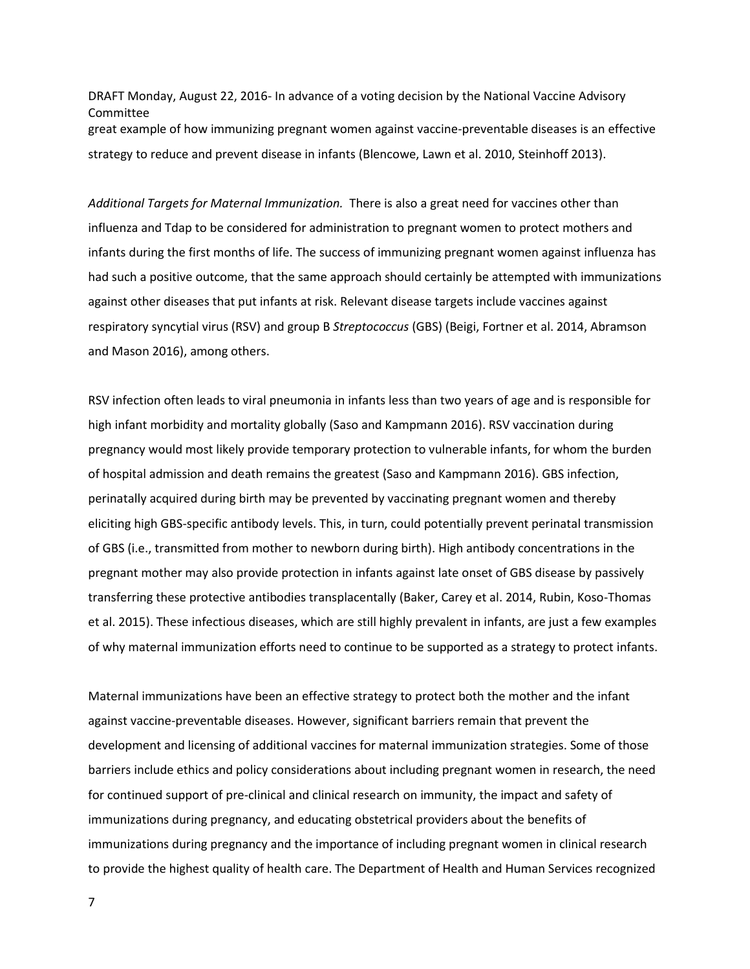DRAFT Monday, August 22, 2016- In advance of a voting decision by the National Vaccine Advisory Committee great example of how immunizing pregnant women against vaccine-preventable diseases is an effective strategy to reduce and prevent disease in infants (Blencowe, Lawn et al. 2010, Steinhoff 2013).

 *Additional Targets for Maternal Immunization.* There is also a great need for vaccines other than influenza and Tdap to be considered for administration to pregnant women to protect mothers and infants during the first months of life. The success of immunizing pregnant women against influenza has had such a positive outcome, that the same approach should certainly be attempted with immunizations against other diseases that put infants at risk. Relevant disease targets include vaccines against respiratory syncytial virus (RSV) and group B *Streptococcus* (GBS) (Beigi, Fortner et al. 2014, Abramson and Mason 2016), among others.

RSV infection often leads to viral pneumonia in infants less than two years of age and is responsible for high infant morbidity and mortality globally (Saso and Kampmann 2016). RSV vaccination during pregnancy would most likely provide temporary protection to vulnerable infants, for whom the burden of hospital admission and death remains the greatest (Saso and Kampmann 2016). GBS infection, perinatally acquired during birth may be prevented by vaccinating pregnant women and thereby eliciting high GBS-specific antibody levels. This, in turn, could potentially prevent perinatal transmission of GBS (i.e., transmitted from mother to newborn during birth). High antibody concentrations in the pregnant mother may also provide protection in infants against late onset of GBS disease by passively transferring these protective antibodies transplacentally (Baker, Carey et al. 2014, Rubin, Koso-Thomas et al. 2015). These infectious diseases, which are still highly prevalent in infants, are just a few examples of why maternal immunization efforts need to continue to be supported as a strategy to protect infants.

 barriers include ethics and policy considerations about including pregnant women in research, the need Maternal immunizations have been an effective strategy to protect both the mother and the infant against vaccine-preventable diseases. However, significant barriers remain that prevent the development and licensing of additional vaccines for maternal immunization strategies. Some of those for continued support of pre-clinical and clinical research on immunity, the impact and safety of immunizations during pregnancy, and educating obstetrical providers about the benefits of immunizations during pregnancy and the importance of including pregnant women in clinical research to provide the highest quality of health care. The Department of Health and Human Services recognized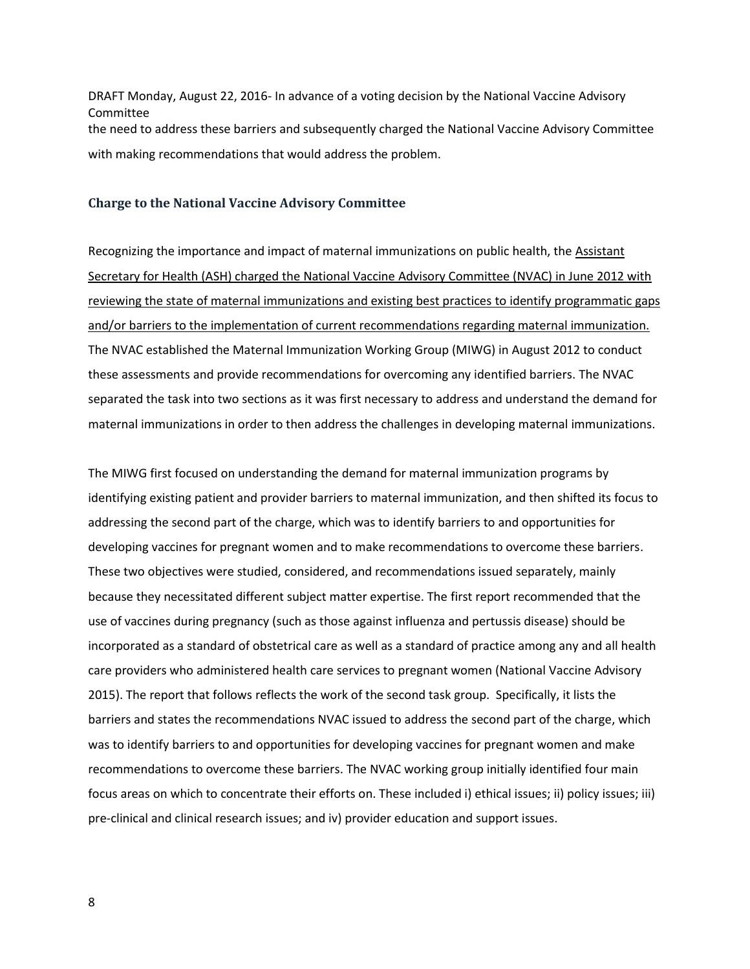DRAFT Monday, August 22, 2016- In advance of a voting decision by the National Vaccine Advisory Committee the need to address these barriers and subsequently charged the National Vaccine Advisory Committee with making recommendations that would address the problem.

#### **Charge to the National Vaccine Advisory Committee**

Recognizing the importance and impact of maternal immunizations on public health, the Assistant Secretary for Health (ASH) charged the National Vaccine Advisory Committee (NVAC) in June 2012 with reviewing the state of maternal immunizations and existing best practices to identify programmatic gaps and/or barriers to the implementation of current recommendations regarding maternal immunization. The NVAC established the Maternal Immunization Working Group (MIWG) in August 2012 to conduct these assessments and provide recommendations for overcoming any identified barriers. The NVAC separated the task into two sections as it was first necessary to address and understand the demand for maternal immunizations in order to then address the challenges in developing maternal immunizations.

The MIWG first focused on understanding the demand for maternal immunization programs by identifying existing patient and provider barriers to maternal immunization, and then shifted its focus to addressing the second part of the charge, which was to identify barriers to and opportunities for developing vaccines for pregnant women and to make recommendations to overcome these barriers. These two objectives were studied, considered, and recommendations issued separately, mainly because they necessitated different subject matter expertise. The first report recommended that the use of vaccines during pregnancy (such as those against influenza and pertussis disease) should be incorporated as a standard of obstetrical care as well as a standard of practice among any and all health care providers who administered health care services to pregnant women (National Vaccine Advisory 2015). The report that follows reflects the work of the second task group. Specifically, it lists the barriers and states the recommendations NVAC issued to address the second part of the charge, which was to identify barriers to and opportunities for developing vaccines for pregnant women and make recommendations to overcome these barriers. The NVAC working group initially identified four main focus areas on which to concentrate their efforts on. These included i) ethical issues; ii) policy issues; iii) pre-clinical and clinical research issues; and iv) provider education and support issues.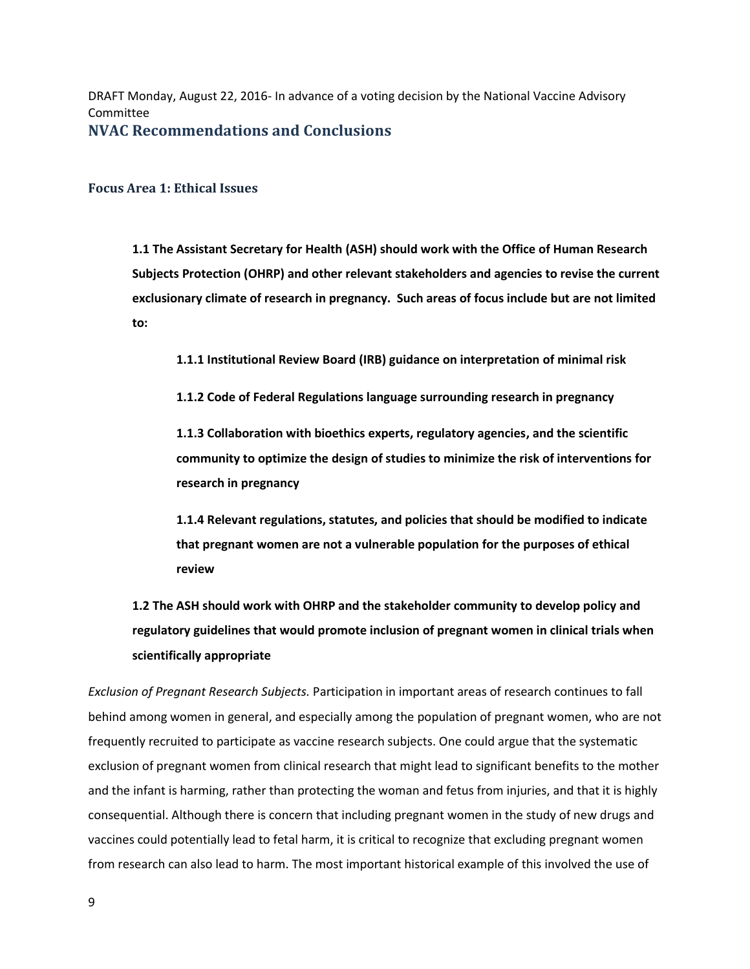DRAFT Monday, August 22, 2016- In advance of a voting decision by the National Vaccine Advisory Committee **NVAC Recommendations and Conclusions** 

**Focus Area 1: Ethical Issues** 

 **exclusionary climate of research in pregnancy. Such areas of focus include but are not limited 1.1 The Assistant Secretary for Health (ASH) should work with the Office of Human Research Subjects Protection (OHRP) and other relevant stakeholders and agencies to revise the current to:** 

 **1.1.1 Institutional Review Board (IRB) guidance on interpretation of minimal risk** 

 **1.1.2 Code of Federal Regulations language surrounding research in pregnancy** 

 **community to optimize the design of studies to minimize the risk of interventions for 1.1.3 Collaboration with bioethics experts, regulatory agencies, and the scientific research in pregnancy** 

**1.1.4 Relevant regulations, statutes, and policies that should be modified to indicate that pregnant women are not a vulnerable population for the purposes of ethical review** 

**1.2 The ASH should work with OHRP and the stakeholder community to develop policy and regulatory guidelines that would promote inclusion of pregnant women in clinical trials when scientifically appropriate** 

*Exclusion of Pregnant Research Subjects.* Participation in important areas of research continues to fall behind among women in general, and especially among the population of pregnant women, who are not frequently recruited to participate as vaccine research subjects. One could argue that the systematic exclusion of pregnant women from clinical research that might lead to significant benefits to the mother and the infant is harming, rather than protecting the woman and fetus from injuries, and that it is highly consequential. Although there is concern that including pregnant women in the study of new drugs and vaccines could potentially lead to fetal harm, it is critical to recognize that excluding pregnant women from research can also lead to harm. The most important historical example of this involved the use of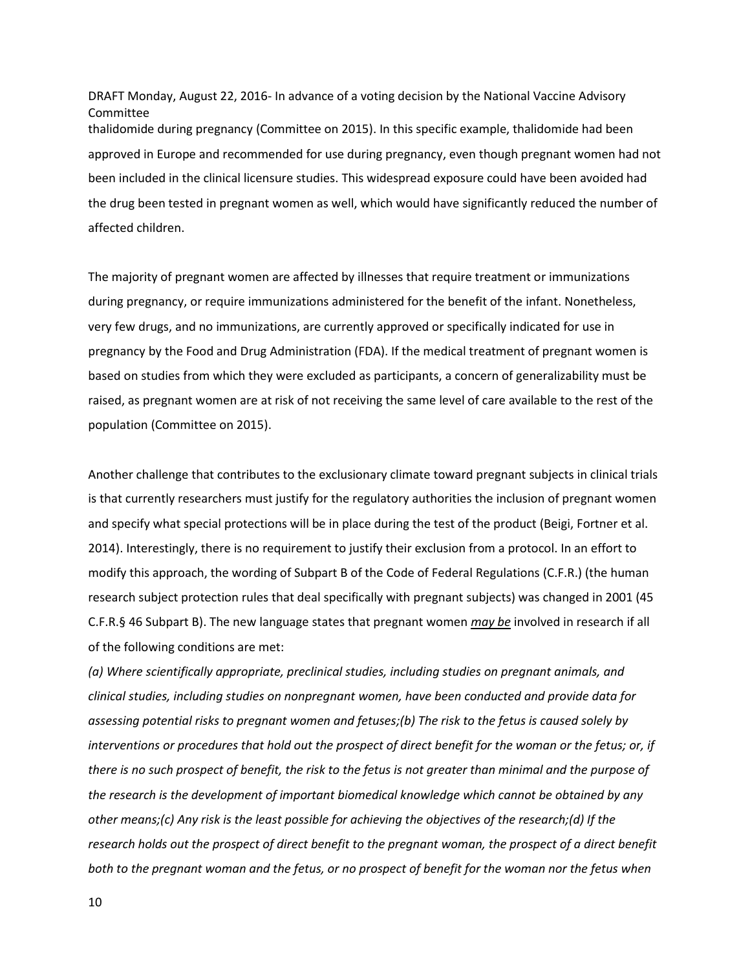DRAFT Monday, August 22, 2016- In advance of a voting decision by the National Vaccine Advisory Committee thalidomide during pregnancy (Committee on 2015). In this specific example, thalidomide had been approved in Europe and recommended for use during pregnancy, even though pregnant women had not been included in the clinical licensure studies. This widespread exposure could have been avoided had the drug been tested in pregnant women as well, which would have significantly reduced the number of affected children.

 population (Committee on 2015). The majority of pregnant women are affected by illnesses that require treatment or immunizations during pregnancy, or require immunizations administered for the benefit of the infant. Nonetheless, very few drugs, and no immunizations, are currently approved or specifically indicated for use in pregnancy by the Food and Drug Administration (FDA). If the medical treatment of pregnant women is based on studies from which they were excluded as participants, a concern of generalizability must be raised, as pregnant women are at risk of not receiving the same level of care available to the rest of the

 2014). Interestingly, there is no requirement to justify their exclusion from a protocol. In an effort to research subject protection rules that deal specifically with pregnant subjects) was changed in 2001 (45 Another challenge that contributes to the exclusionary climate toward pregnant subjects in clinical trials is that currently researchers must justify for the regulatory authorities the inclusion of pregnant women and specify what special protections will be in place during the test of the product (Beigi, Fortner et al. modify this approach, the wording of Subpart B of the Code of Federal Regulations (C.F.R.) (the human C.F.R.§ 46 Subpart B). The new language states that pregnant women *may be* involved in research if all of the following conditions are met:

*(a) Where scientifically appropriate, preclinical studies, including studies on pregnant animals, and clinical studies, including studies on nonpregnant women, have been conducted and provide data for assessing potential risks to pregnant women and fetuses;(b) The risk to the fetus is caused solely by interventions or procedures that hold out the prospect of direct benefit for the woman or the fetus; or, if there is no such prospect of benefit, the risk to the fetus is not greater than minimal and the purpose of the research is the development of important biomedical knowledge which cannot be obtained by any other means;(c) Any risk is the least possible for achieving the objectives of the research;(d) If the research holds out the prospect of direct benefit to the pregnant woman, the prospect of a direct benefit both to the pregnant woman and the fetus, or no prospect of benefit for the woman nor the fetus when*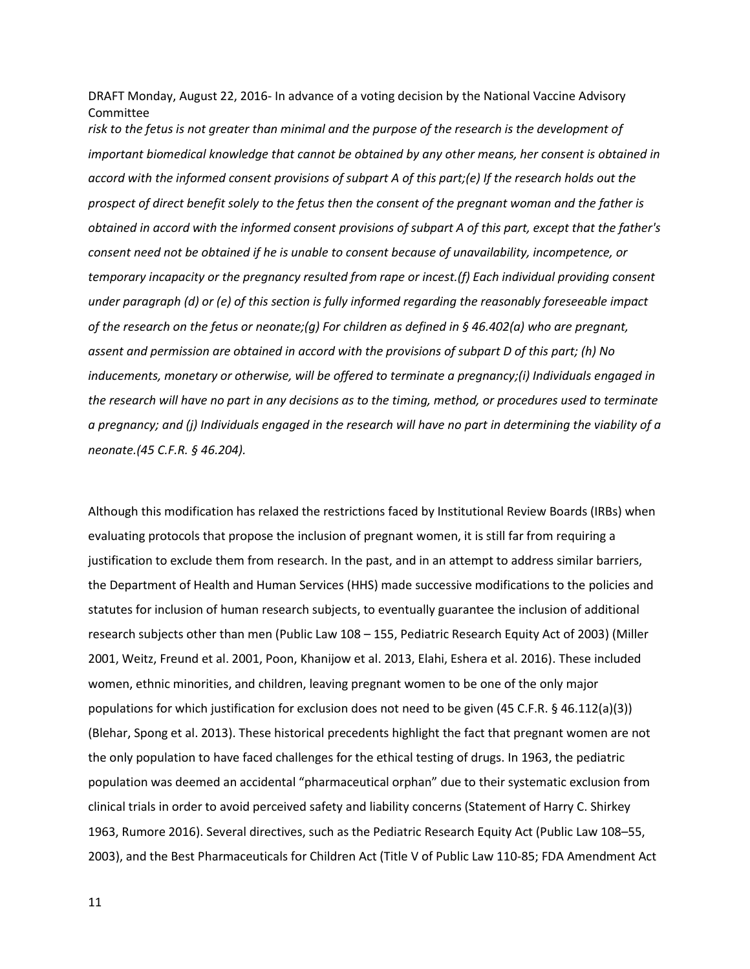*risk to the fetus is not greater than minimal and the purpose of the research is the development of important biomedical knowledge that cannot be obtained by any other means, her consent is obtained in accord with the informed consent provisions of subpart A of this part;(e) If the research holds out the prospect of direct benefit solely to the fetus then the consent of the pregnant woman and the father is obtained in accord with the informed consent provisions of subpart A of this part, except that the father's consent need not be obtained if he is unable to consent because of unavailability, incompetence, or temporary incapacity or the pregnancy resulted from rape or incest.(f) Each individual providing consent under paragraph (d) or (e) of this section is fully informed regarding the reasonably foreseeable impact of the research on the fetus or neonate;(g) For children as defined in § 46.402(a) who are pregnant, assent and permission are obtained in accord with the provisions of subpart D of this part; (h) No inducements, monetary or otherwise, will be offered to terminate a pregnancy;(i) Individuals engaged in the research will have no part in any decisions as to the timing, method, or procedures used to terminate a pregnancy; and (j) Individuals engaged in the research will have no part in determining the viability of a neonate.(45 C.F.R. § 46.204).* 

Although this modification has relaxed the restrictions faced by Institutional Review Boards (IRBs) when evaluating protocols that propose the inclusion of pregnant women, it is still far from requiring a justification to exclude them from research. In the past, and in an attempt to address similar barriers, the Department of Health and Human Services (HHS) made successive modifications to the policies and statutes for inclusion of human research subjects, to eventually guarantee the inclusion of additional research subjects other than men (Public Law 108 – 155, Pediatric Research Equity Act of 2003) (Miller 2001, Weitz, Freund et al. 2001, Poon, Khanijow et al. 2013, Elahi, Eshera et al. 2016). These included women, ethnic minorities, and children, leaving pregnant women to be one of the only major populations for which justification for exclusion does not need to be given (45 C.F.R. § 46.112(a)(3)) (Blehar, Spong et al. 2013). These historical precedents highlight the fact that pregnant women are not the only population to have faced challenges for the ethical testing of drugs. In 1963, the pediatric population was deemed an accidental "pharmaceutical orphan" due to their systematic exclusion from clinical trials in order to avoid perceived safety and liability concerns (Statement of Harry C. Shirkey 1963, Rumore 2016). Several directives, such as the Pediatric Research Equity Act (Public Law 108–55, 2003), and the Best Pharmaceuticals for Children Act (Title V of Public Law 110-85; FDA Amendment Act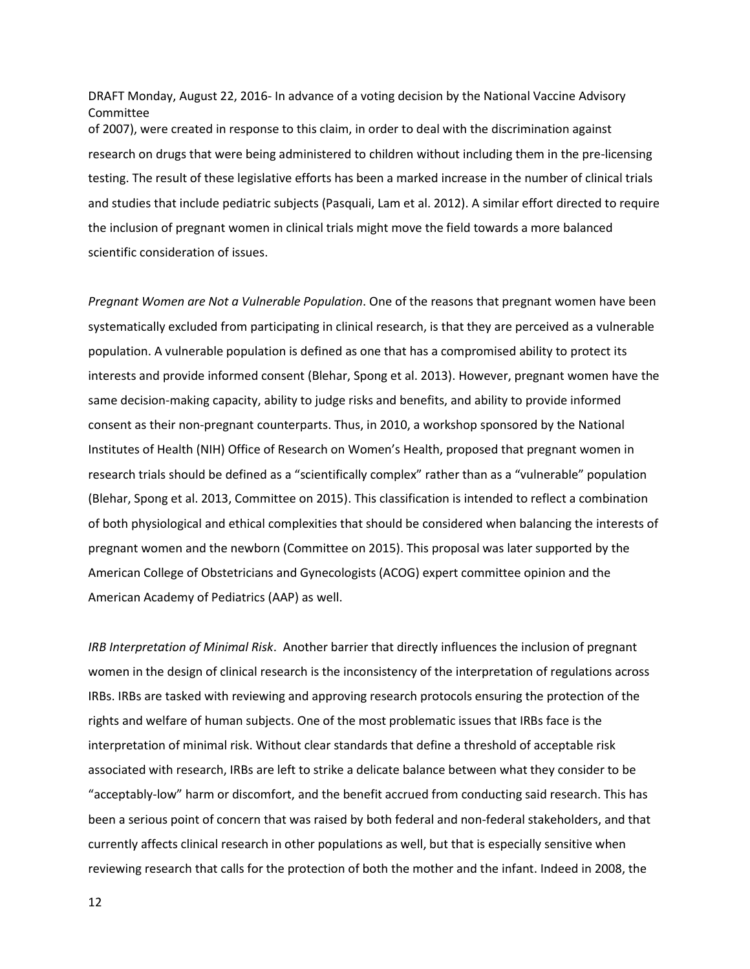DRAFT Monday, August 22, 2016- In advance of a voting decision by the National Vaccine Advisory Committee of 2007), were created in response to this claim, in order to deal with the discrimination against research on drugs that were being administered to children without including them in the pre-licensing testing. The result of these legislative efforts has been a marked increase in the number of clinical trials and studies that include pediatric subjects (Pasquali, Lam et al. 2012). A similar effort directed to require the inclusion of pregnant women in clinical trials might move the field towards a more balanced scientific consideration of issues.

*Pregnant Women are Not a Vulnerable Population*. One of the reasons that pregnant women have been systematically excluded from participating in clinical research, is that they are perceived as a vulnerable population. A vulnerable population is defined as one that has a compromised ability to protect its interests and provide informed consent (Blehar, Spong et al. 2013). However, pregnant women have the same decision-making capacity, ability to judge risks and benefits, and ability to provide informed consent as their non-pregnant counterparts. Thus, in 2010, a workshop sponsored by the National Institutes of Health (NIH) Office of Research on Women's Health, proposed that pregnant women in research trials should be defined as a "scientifically complex" rather than as a "vulnerable" population (Blehar, Spong et al. 2013, Committee on 2015). This classification is intended to reflect a combination of both physiological and ethical complexities that should be considered when balancing the interests of pregnant women and the newborn (Committee on 2015). This proposal was later supported by the American College of Obstetricians and Gynecologists (ACOG) expert committee opinion and the American Academy of Pediatrics (AAP) as well.

*IRB Interpretation of Minimal Risk*. Another barrier that directly influences the inclusion of pregnant women in the design of clinical research is the inconsistency of the interpretation of regulations across IRBs. IRBs are tasked with reviewing and approving research protocols ensuring the protection of the rights and welfare of human subjects. One of the most problematic issues that IRBs face is the interpretation of minimal risk. Without clear standards that define a threshold of acceptable risk associated with research, IRBs are left to strike a delicate balance between what they consider to be "acceptably-low" harm or discomfort, and the benefit accrued from conducting said research. This has been a serious point of concern that was raised by both federal and non-federal stakeholders, and that currently affects clinical research in other populations as well, but that is especially sensitive when reviewing research that calls for the protection of both the mother and the infant. Indeed in 2008, the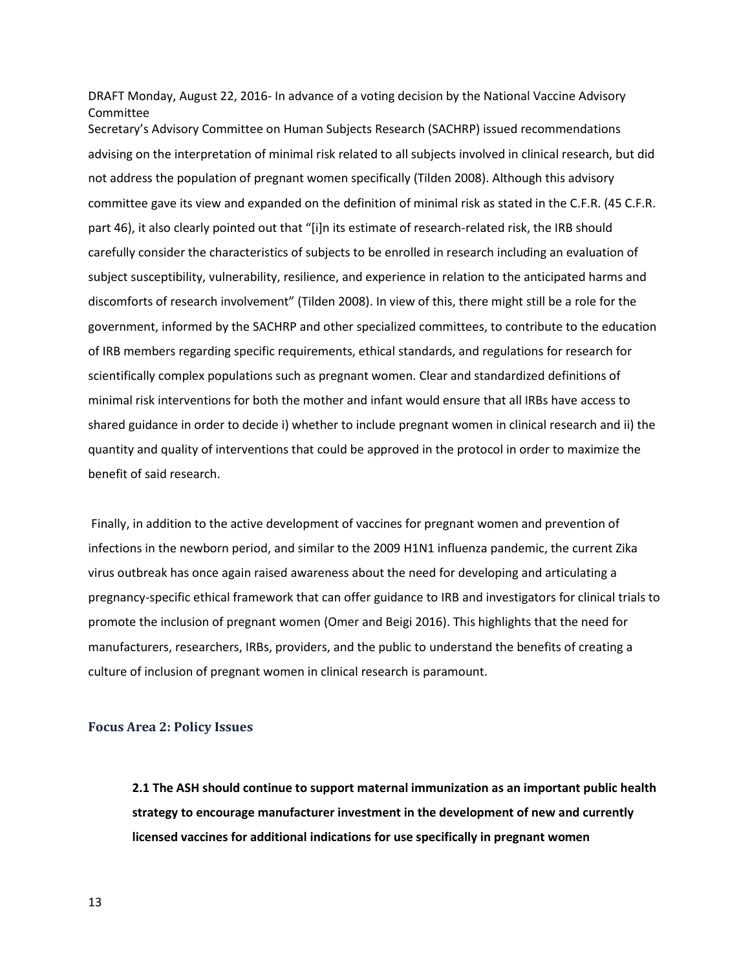Secretary's Advisory Committee on Human Subjects Research (SACHRP) issued recommendations advising on the interpretation of minimal risk related to all subjects involved in clinical research, but did not address the population of pregnant women specifically (Tilden 2008). Although this advisory committee gave its view and expanded on the definition of minimal risk as stated in the C.F.R. (45 C.F.R. part 46), it also clearly pointed out that "[i]n its estimate of research-related risk, the IRB should carefully consider the characteristics of subjects to be enrolled in research including an evaluation of subject susceptibility, vulnerability, resilience, and experience in relation to the anticipated harms and discomforts of research involvement" (Tilden 2008). In view of this, there might still be a role for the government, informed by the SACHRP and other specialized committees, to contribute to the education of IRB members regarding specific requirements, ethical standards, and regulations for research for scientifically complex populations such as pregnant women. Clear and standardized definitions of minimal risk interventions for both the mother and infant would ensure that all IRBs have access to shared guidance in order to decide i) whether to include pregnant women in clinical research and ii) the quantity and quality of interventions that could be approved in the protocol in order to maximize the benefit of said research.

Finally, in addition to the active development of vaccines for pregnant women and prevention of infections in the newborn period, and similar to the 2009 H1N1 influenza pandemic, the current Zika virus outbreak has once again raised awareness about the need for developing and articulating a pregnancy-specific ethical framework that can offer guidance to IRB and investigators for clinical trials to promote the inclusion of pregnant women (Omer and Beigi 2016). This highlights that the need for manufacturers, researchers, IRBs, providers, and the public to understand the benefits of creating a culture of inclusion of pregnant women in clinical research is paramount.

## **Focus Area 2: Policy Issues**

 **2.1 The ASH should continue to support maternal immunization as an important public health strategy to encourage manufacturer investment in the development of new and currently licensed vaccines for additional indications for use specifically in pregnant women**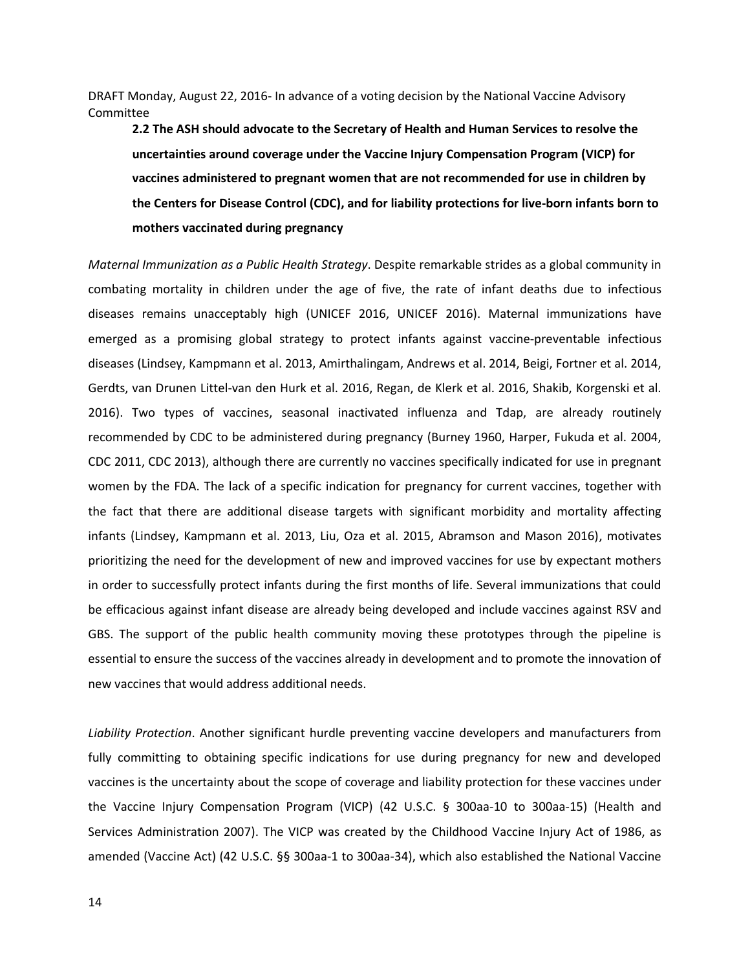**2.2 The ASH should advocate to the Secretary of Health and Human Services to resolve the uncertainties around coverage under the Vaccine Injury Compensation Program (VICP) for vaccines administered to pregnant women that are not recommended for use in children by the Centers for Disease Control (CDC), and for liability protections for live-born infants born to mothers vaccinated during pregnancy** 

*Maternal Immunization as a Public Health Strategy*. Despite remarkable strides as a global community in combating mortality in children under the age of five, the rate of infant deaths due to infectious diseases remains unacceptably high (UNICEF 2016, UNICEF 2016). Maternal immunizations have emerged as a promising global strategy to protect infants against vaccine-preventable infectious diseases (Lindsey, Kampmann et al. 2013, Amirthalingam, Andrews et al. 2014, Beigi, Fortner et al. 2014, Gerdts, van Drunen Littel-van den Hurk et al. 2016, Regan, de Klerk et al. 2016, Shakib, Korgenski et al. 2016). Two types of vaccines, seasonal inactivated influenza and Tdap, are already routinely recommended by CDC to be administered during pregnancy (Burney 1960, Harper, Fukuda et al. 2004, CDC 2011, CDC 2013), although there are currently no vaccines specifically indicated for use in pregnant women by the FDA. The lack of a specific indication for pregnancy for current vaccines, together with the fact that there are additional disease targets with significant morbidity and mortality affecting infants (Lindsey, Kampmann et al. 2013, Liu, Oza et al. 2015, Abramson and Mason 2016), motivates prioritizing the need for the development of new and improved vaccines for use by expectant mothers in order to successfully protect infants during the first months of life. Several immunizations that could be efficacious against infant disease are already being developed and include vaccines against RSV and GBS. The support of the public health community moving these prototypes through the pipeline is essential to ensure the success of the vaccines already in development and to promote the innovation of new vaccines that would address additional needs.

 fully committing to obtaining specific indications for use during pregnancy for new and developed vaccines is the uncertainty about the scope of coverage and liability protection for these vaccines under the Vaccine Injury Compensation Program (VICP) (42 U.S.C. § 300aa-10 to 300aa-15) (Health and Services Administration 2007). The VICP was created by the Childhood Vaccine Injury Act of 1986, as amended (Vaccine Act) (42 U.S.C. §§ 300aa-1 to 300aa-34), which also established the National Vaccine *Liability Protection*. Another significant hurdle preventing vaccine developers and manufacturers from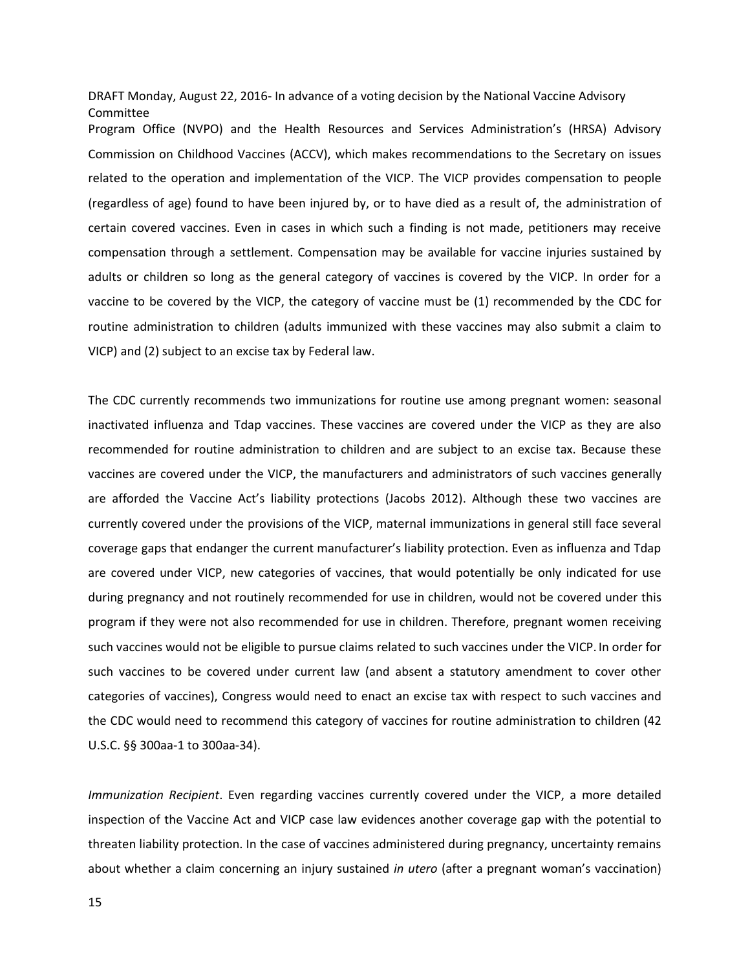Program Office (NVPO) and the Health Resources and Services Administration's (HRSA) Advisory Commission on Childhood Vaccines (ACCV), which makes recommendations to the Secretary on issues related to the operation and implementation of the VICP. The VICP provides compensation to people (regardless of age) found to have been injured by, or to have died as a result of, the administration of certain covered vaccines. Even in cases in which such a finding is not made, petitioners may receive compensation through a settlement. Compensation may be available for vaccine injuries sustained by adults or children so long as the general category of vaccines is covered by the VICP. In order for a vaccine to be covered by the VICP, the category of vaccine must be (1) recommended by the CDC for routine administration to children (adults immunized with these vaccines may also submit a claim to VICP) and (2) subject to an excise tax by Federal law.

The CDC currently recommends two immunizations for routine use among pregnant women: seasonal inactivated influenza and Tdap vaccines. These vaccines are covered under the VICP as they are also recommended for routine administration to children and are subject to an excise tax. Because these vaccines are covered under the VICP, the manufacturers and administrators of such vaccines generally are afforded the Vaccine Act's liability protections (Jacobs 2012). Although these two vaccines are currently covered under the provisions of the VICP, maternal immunizations in general still face several coverage gaps that endanger the current manufacturer's liability protection. Even as influenza and Tdap are covered under VICP, new categories of vaccines, that would potentially be only indicated for use during pregnancy and not routinely recommended for use in children, would not be covered under this program if they were not also recommended for use in children. Therefore, pregnant women receiving such vaccines would not be eligible to pursue claims related to such vaccines under the VICP. In order for such vaccines to be covered under current law (and absent a statutory amendment to cover other categories of vaccines), Congress would need to enact an excise tax with respect to such vaccines and the CDC would need to recommend this category of vaccines for routine administration to children (42 U.S.C. §§ 300aa-1 to 300aa-34).

 inspection of the Vaccine Act and VICP case law evidences another coverage gap with the potential to threaten liability protection. In the case of vaccines administered during pregnancy, uncertainty remains about whether a claim concerning an injury sustained *in utero* (after a pregnant woman's vaccination) *Immunization Recipient*. Even regarding vaccines currently covered under the VICP, a more detailed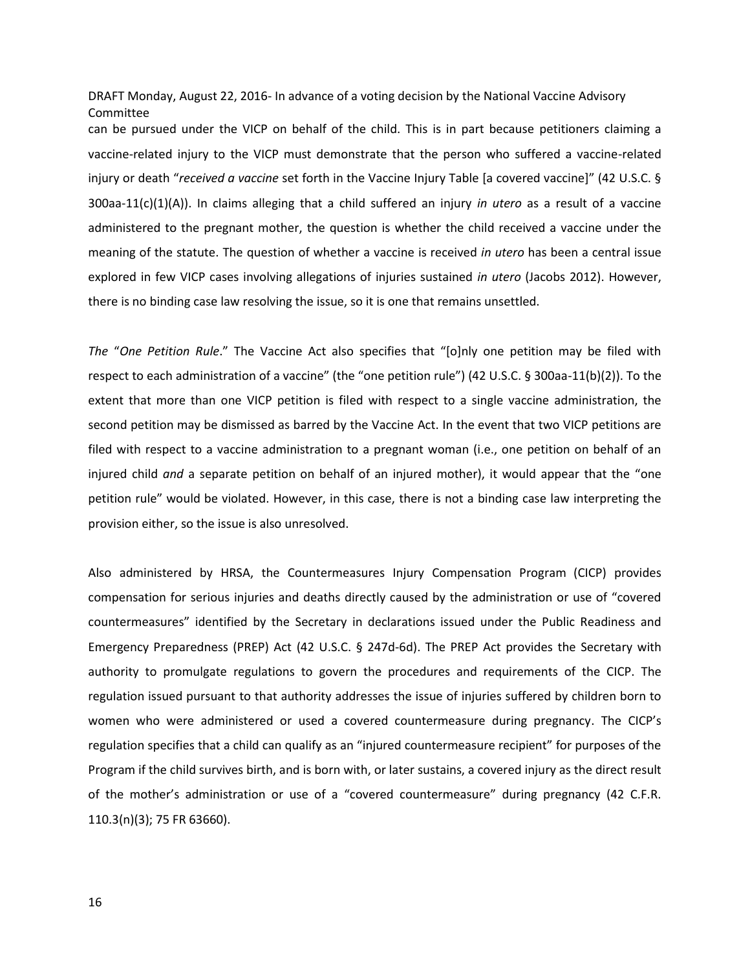can be pursued under the VICP on behalf of the child. This is in part because petitioners claiming a vaccine-related injury to the VICP must demonstrate that the person who suffered a vaccine-related injury or death "*received a vaccine* set forth in the Vaccine Injury Table [a covered vaccine]" (42 U.S.C. § 300aa-11(c)(1)(A)). In claims alleging that a child suffered an injury *in utero* as a result of a vaccine administered to the pregnant mother, the question is whether the child received a vaccine under the meaning of the statute. The question of whether a vaccine is received *in utero* has been a central issue explored in few VICP cases involving allegations of injuries sustained *in utero* (Jacobs 2012). However, there is no binding case law resolving the issue, so it is one that remains unsettled.

*The "One Petition Rule."* The Vaccine Act also specifies that "[o]nly one petition may be filed with respect to each administration of a vaccine" (the "one petition rule") (42 U.S.C. § 300aa-11(b)(2)). To the extent that more than one VICP petition is filed with respect to a single vaccine administration, the second petition may be dismissed as barred by the Vaccine Act. In the event that two VICP petitions are filed with respect to a vaccine administration to a pregnant woman (i.e., one petition on behalf of an injured child *and* a separate petition on behalf of an injured mother), it would appear that the "one petition rule" would be violated. However, in this case, there is not a binding case law interpreting the provision either, so the issue is also unresolved.

Also administered by HRSA, the Countermeasures Injury Compensation Program (CICP) provides compensation for serious injuries and deaths directly caused by the administration or use of "covered countermeasures" identified by the Secretary in declarations issued under the Public Readiness and Emergency Preparedness (PREP) Act (42 U.S.C. § 247d-6d). The PREP Act provides the Secretary with authority to promulgate regulations to govern the procedures and requirements of the CICP. The regulation issued pursuant to that authority addresses the issue of injuries suffered by children born to women who were administered or used a covered countermeasure during pregnancy. The CICP's regulation specifies that a child can qualify as an "injured countermeasure recipient" for purposes of the Program if the child survives birth, and is born with, or later sustains, a covered injury as the direct result of the mother's administration or use of a "covered countermeasure" during pregnancy (42 C.F.R. 110.3(n)(3); 75 FR 63660).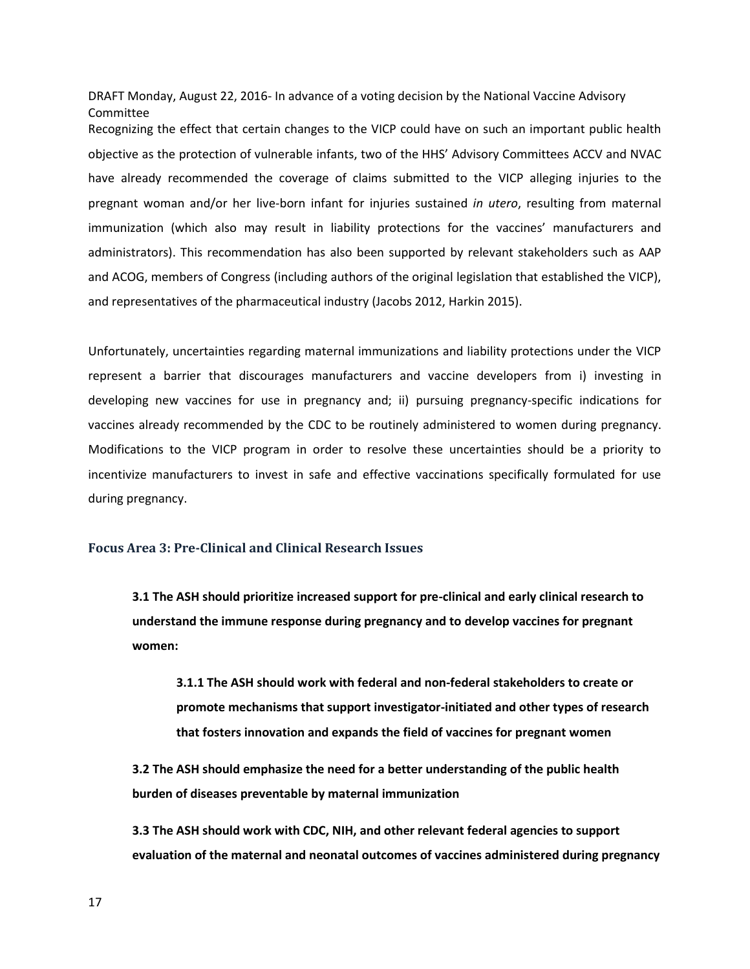Recognizing the effect that certain changes to the VICP could have on such an important public health objective as the protection of vulnerable infants, two of the HHS' Advisory Committees ACCV and NVAC have already recommended the coverage of claims submitted to the VICP alleging injuries to the pregnant woman and/or her live-born infant for injuries sustained *in utero*, resulting from maternal immunization (which also may result in liability protections for the vaccines' manufacturers and administrators). This recommendation has also been supported by relevant stakeholders such as AAP and ACOG, members of Congress (including authors of the original legislation that established the VICP), and representatives of the pharmaceutical industry (Jacobs 2012, Harkin 2015).

 Unfortunately, uncertainties regarding maternal immunizations and liability protections under the VICP represent a barrier that discourages manufacturers and vaccine developers from i) investing in developing new vaccines for use in pregnancy and; ii) pursuing pregnancy-specific indications for Modifications to the VICP program in order to resolve these uncertainties should be a priority to incentivize manufacturers to invest in safe and effective vaccinations specifically formulated for use vaccines already recommended by the CDC to be routinely administered to women during pregnancy. during pregnancy.

## **Focus Area 3: Pre-Clinical and Clinical Research Issues**

 **3.1 The ASH should prioritize increased support for pre-clinical and early clinical research to understand the immune response during pregnancy and to develop vaccines for pregnant women:** 

 **3.1.1 The ASH should work with federal and non-federal stakeholders to create or promote mechanisms that support investigator-initiated and other types of research that fosters innovation and expands the field of vaccines for pregnant women** 

**3.2 The ASH should emphasize the need for a better understanding of the public health burden of diseases preventable by maternal immunization** 

 **3.3 The ASH should work with CDC, NIH, and other relevant federal agencies to support evaluation of the maternal and neonatal outcomes of vaccines administered during pregnancy**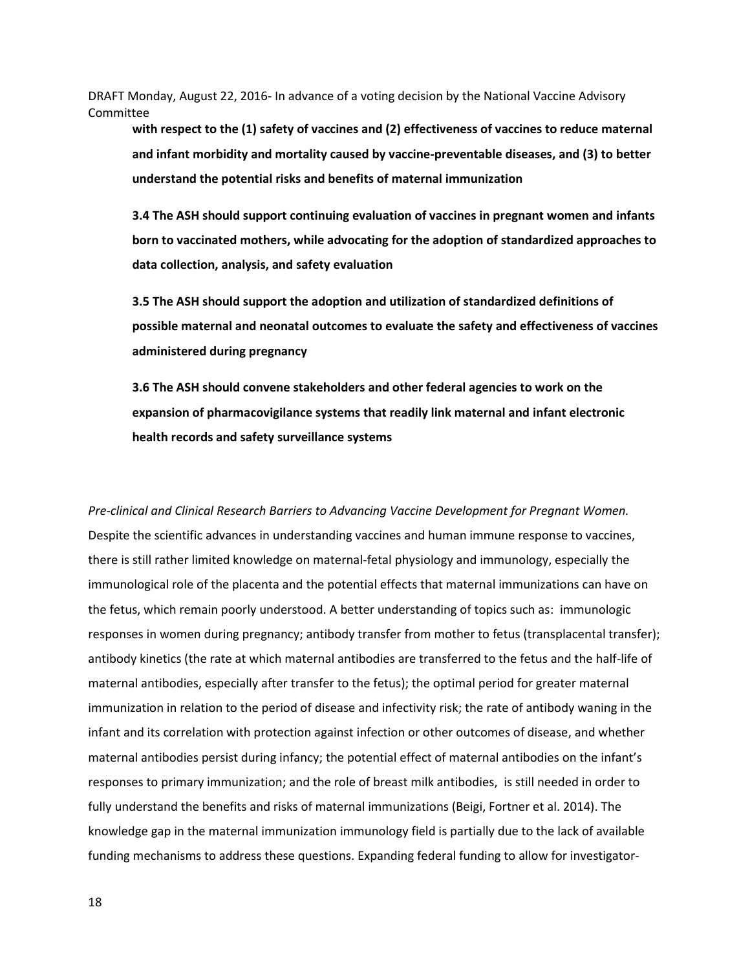**with respect to the (1) safety of vaccines and (2) effectiveness of vaccines to reduce maternal and infant morbidity and mortality caused by vaccine-preventable diseases, and (3) to better understand the potential risks and benefits of maternal immunization** 

 **3.4 The ASH should support continuing evaluation of vaccines in pregnant women and infants born to vaccinated mothers, while advocating for the adoption of standardized approaches to data collection, analysis, and safety evaluation** 

 **3.5 The ASH should support the adoption and utilization of standardized definitions of possible maternal and neonatal outcomes to evaluate the safety and effectiveness of vaccines administered during pregnancy** 

 **3.6 The ASH should convene stakeholders and other federal agencies to work on the expansion of pharmacovigilance systems that readily link maternal and infant electronic health records and safety surveillance systems** 

 maternal antibodies persist during infancy; the potential effect of maternal antibodies on the infant's responses to primary immunization; and the role of breast milk antibodies, is still needed in order to *Pre-clinical and Clinical Research Barriers to Advancing Vaccine Development for Pregnant Women.*  Despite the scientific advances in understanding vaccines and human immune response to vaccines, there is still rather limited knowledge on maternal-fetal physiology and immunology, especially the immunological role of the placenta and the potential effects that maternal immunizations can have on the fetus, which remain poorly understood. A better understanding of topics such as: immunologic responses in women during pregnancy; antibody transfer from mother to fetus (transplacental transfer); antibody kinetics (the rate at which maternal antibodies are transferred to the fetus and the half-life of maternal antibodies, especially after transfer to the fetus); the optimal period for greater maternal immunization in relation to the period of disease and infectivity risk; the rate of antibody waning in the infant and its correlation with protection against infection or other outcomes of disease, and whether fully understand the benefits and risks of maternal immunizations (Beigi, Fortner et al. 2014). The knowledge gap in the maternal immunization immunology field is partially due to the lack of available funding mechanisms to address these questions. Expanding federal funding to allow for investigator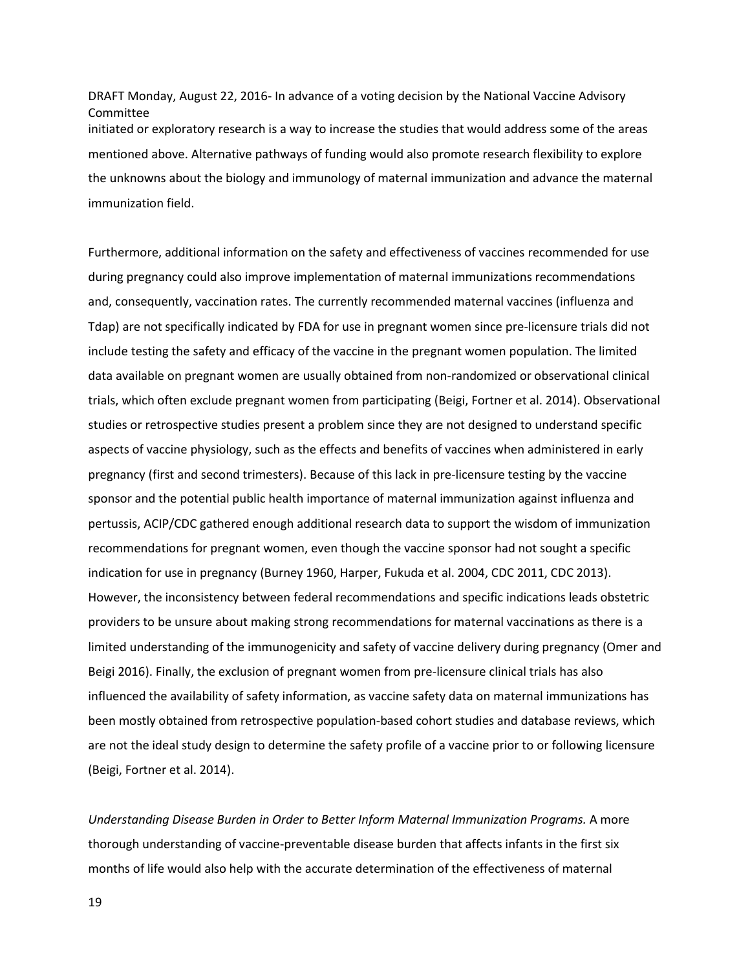DRAFT Monday, August 22, 2016- In advance of a voting decision by the National Vaccine Advisory Committee initiated or exploratory research is a way to increase the studies that would address some of the areas mentioned above. Alternative pathways of funding would also promote research flexibility to explore the unknowns about the biology and immunology of maternal immunization and advance the maternal immunization field.

Furthermore, additional information on the safety and effectiveness of vaccines recommended for use during pregnancy could also improve implementation of maternal immunizations recommendations and, consequently, vaccination rates. The currently recommended maternal vaccines (influenza and Tdap) are not specifically indicated by FDA for use in pregnant women since pre-licensure trials did not include testing the safety and efficacy of the vaccine in the pregnant women population. The limited data available on pregnant women are usually obtained from non-randomized or observational clinical trials, which often exclude pregnant women from participating (Beigi, Fortner et al. 2014). Observational studies or retrospective studies present a problem since they are not designed to understand specific aspects of vaccine physiology, such as the effects and benefits of vaccines when administered in early pregnancy (first and second trimesters). Because of this lack in pre-licensure testing by the vaccine sponsor and the potential public health importance of maternal immunization against influenza and pertussis, ACIP/CDC gathered enough additional research data to support the wisdom of immunization recommendations for pregnant women, even though the vaccine sponsor had not sought a specific indication for use in pregnancy (Burney 1960, Harper, Fukuda et al. 2004, CDC 2011, CDC 2013). However, the inconsistency between federal recommendations and specific indications leads obstetric providers to be unsure about making strong recommendations for maternal vaccinations as there is a limited understanding of the immunogenicity and safety of vaccine delivery during pregnancy (Omer and Beigi 2016). Finally, the exclusion of pregnant women from pre-licensure clinical trials has also influenced the availability of safety information, as vaccine safety data on maternal immunizations has been mostly obtained from retrospective population-based cohort studies and database reviews, which are not the ideal study design to determine the safety profile of a vaccine prior to or following licensure (Beigi, Fortner et al. 2014).

*Understanding Disease Burden in Order to Better Inform Maternal Immunization Programs.* A more thorough understanding of vaccine-preventable disease burden that affects infants in the first six months of life would also help with the accurate determination of the effectiveness of maternal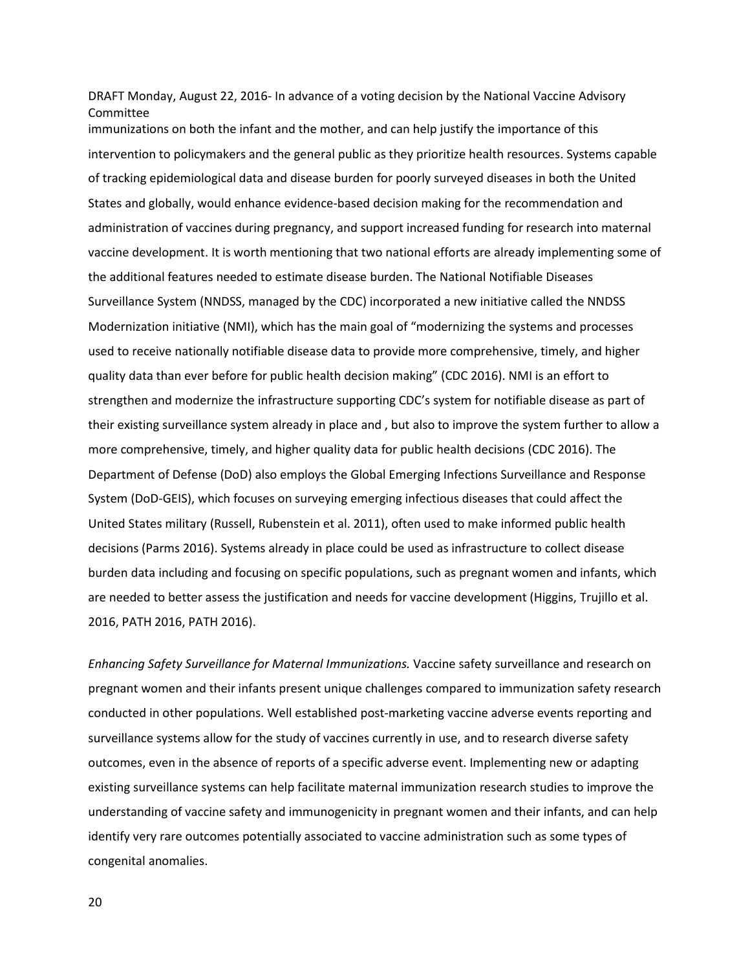administration of vaccines during pregnancy, and support increased funding for research into maternal immunizations on both the infant and the mother, and can help justify the importance of this intervention to policymakers and the general public as they prioritize health resources. Systems capable of tracking epidemiological data and disease burden for poorly surveyed diseases in both the United States and globally, would enhance evidence-based decision making for the recommendation and vaccine development. It is worth mentioning that two national efforts are already implementing some of the additional features needed to estimate disease burden. The National Notifiable Diseases Surveillance System (NNDSS, managed by the CDC) incorporated a new initiative called the NNDSS Modernization initiative (NMI), which has the main goal of "modernizing the systems and processes used to receive nationally notifiable disease data to provide more comprehensive, timely, and higher quality data than ever before for public health decision making" (CDC 2016). NMI is an effort to strengthen and modernize the infrastructure supporting CDC's system for notifiable disease as part of their existing surveillance system already in place and , but also to improve the system further to allow a more comprehensive, timely, and higher quality data for public health decisions (CDC 2016). The Department of Defense (DoD) also employs the Global Emerging Infections Surveillance and Response System (DoD-GEIS), which focuses on surveying emerging infectious diseases that could affect the United States military (Russell, Rubenstein et al. 2011), often used to make informed public health decisions (Parms 2016). Systems already in place could be used as infrastructure to collect disease burden data including and focusing on specific populations, such as pregnant women and infants, which are needed to better assess the justification and needs for vaccine development (Higgins, Trujillo et al. 2016, PATH 2016, PATH 2016).

*Enhancing Safety Surveillance for Maternal Immunizations.* Vaccine safety surveillance and research on pregnant women and their infants present unique challenges compared to immunization safety research conducted in other populations. Well established post-marketing vaccine adverse events reporting and surveillance systems allow for the study of vaccines currently in use, and to research diverse safety outcomes, even in the absence of reports of a specific adverse event. Implementing new or adapting existing surveillance systems can help facilitate maternal immunization research studies to improve the understanding of vaccine safety and immunogenicity in pregnant women and their infants, and can help identify very rare outcomes potentially associated to vaccine administration such as some types of congenital anomalies.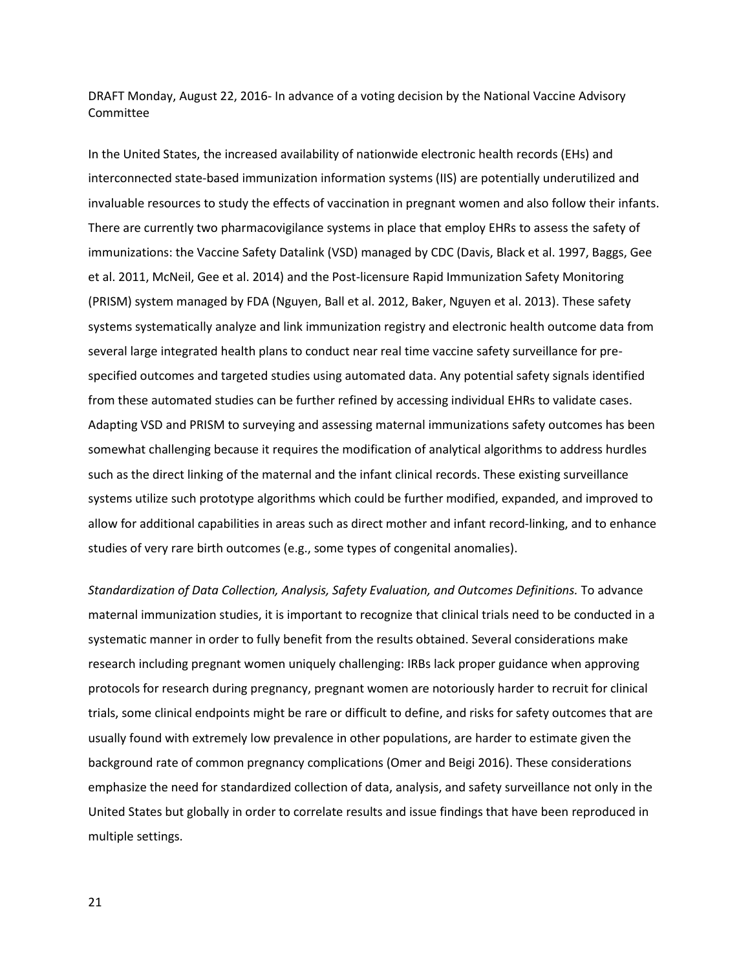et al. 2011, McNeil, Gee et al. 2014) and the Post-licensure Rapid Immunization Safety Monitoring systems systematically analyze and link immunization registry and electronic health outcome data from In the United States, the increased availability of nationwide electronic health records (EHs) and interconnected state-based immunization information systems (IIS) are potentially underutilized and invaluable resources to study the effects of vaccination in pregnant women and also follow their infants. There are currently two pharmacovigilance systems in place that employ EHRs to assess the safety of immunizations: the Vaccine Safety Datalink (VSD) managed by CDC (Davis, Black et al. 1997, Baggs, Gee (PRISM) system managed by FDA (Nguyen, Ball et al. 2012, Baker, Nguyen et al. 2013). These safety several large integrated health plans to conduct near real time vaccine safety surveillance for prespecified outcomes and targeted studies using automated data. Any potential safety signals identified from these automated studies can be further refined by accessing individual EHRs to validate cases. Adapting VSD and PRISM to surveying and assessing maternal immunizations safety outcomes has been somewhat challenging because it requires the modification of analytical algorithms to address hurdles such as the direct linking of the maternal and the infant clinical records. These existing surveillance systems utilize such prototype algorithms which could be further modified, expanded, and improved to allow for additional capabilities in areas such as direct mother and infant record-linking, and to enhance studies of very rare birth outcomes (e.g., some types of congenital anomalies).

 usually found with extremely low prevalence in other populations, are harder to estimate given the *Standardization of Data Collection, Analysis, Safety Evaluation, and Outcomes Definitions.* To advance maternal immunization studies, it is important to recognize that clinical trials need to be conducted in a systematic manner in order to fully benefit from the results obtained. Several considerations make research including pregnant women uniquely challenging: IRBs lack proper guidance when approving protocols for research during pregnancy, pregnant women are notoriously harder to recruit for clinical trials, some clinical endpoints might be rare or difficult to define, and risks for safety outcomes that are background rate of common pregnancy complications (Omer and Beigi 2016). These considerations emphasize the need for standardized collection of data, analysis, and safety surveillance not only in the United States but globally in order to correlate results and issue findings that have been reproduced in multiple settings.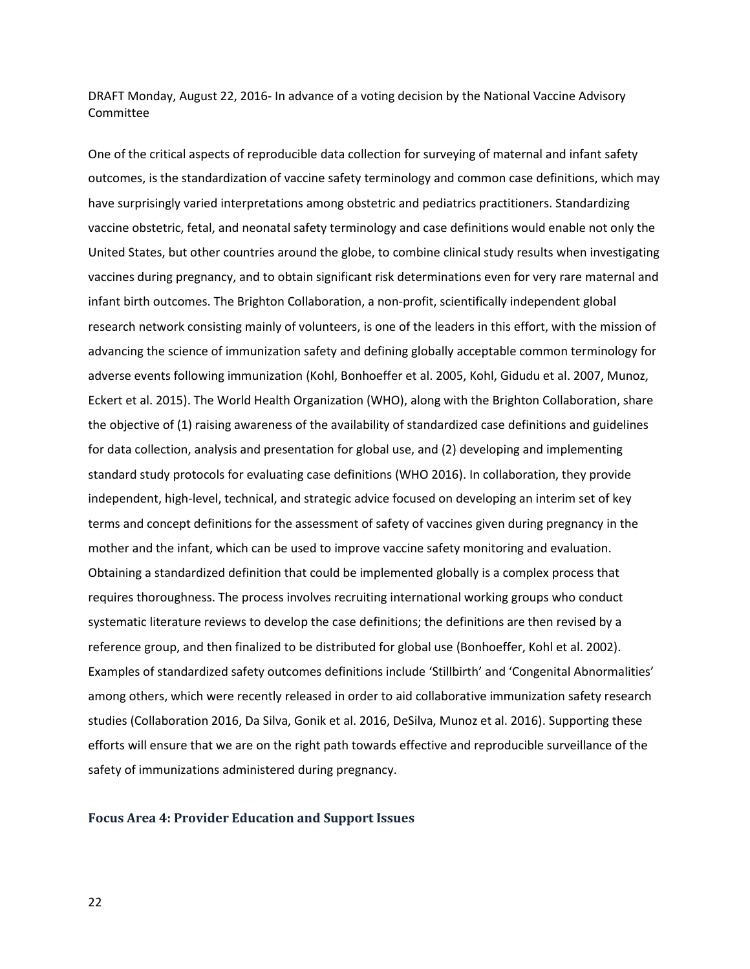One of the critical aspects of reproducible data collection for surveying of maternal and infant safety outcomes, is the standardization of vaccine safety terminology and common case definitions, which may have surprisingly varied interpretations among obstetric and pediatrics practitioners. Standardizing vaccine obstetric, fetal, and neonatal safety terminology and case definitions would enable not only the United States, but other countries around the globe, to combine clinical study results when investigating vaccines during pregnancy, and to obtain significant risk determinations even for very rare maternal and infant birth outcomes. The Brighton Collaboration, a non-profit, scientifically independent global research network consisting mainly of volunteers, is one of the leaders in this effort, with the mission of advancing the science of immunization safety and defining globally acceptable common terminology for adverse events following immunization (Kohl, Bonhoeffer et al. 2005, Kohl, Gidudu et al. 2007, Munoz, Eckert et al. 2015). The World Health Organization (WHO), along with the Brighton Collaboration, share the objective of (1) raising awareness of the availability of standardized case definitions and guidelines for data collection, analysis and presentation for global use, and (2) developing and implementing standard study protocols for evaluating case definitions (WHO 2016). In collaboration, they provide independent, high-level, technical, and strategic advice focused on developing an interim set of key terms and concept definitions for the assessment of safety of vaccines given during pregnancy in the mother and the infant, which can be used to improve vaccine safety monitoring and evaluation. Obtaining a standardized definition that could be implemented globally is a complex process that requires thoroughness. The process involves recruiting international working groups who conduct systematic literature reviews to develop the case definitions; the definitions are then revised by a reference group, and then finalized to be distributed for global use (Bonhoeffer, Kohl et al. 2002). Examples of standardized safety outcomes definitions include 'Stillbirth' and 'Congenital Abnormalities' among others, which were recently released in order to aid collaborative immunization safety research studies (Collaboration 2016, Da Silva, Gonik et al. 2016, DeSilva, Munoz et al. 2016). Supporting these efforts will ensure that we are on the right path towards effective and reproducible surveillance of the safety of immunizations administered during pregnancy.

## **Focus Area 4: Provider Education and Support Issues**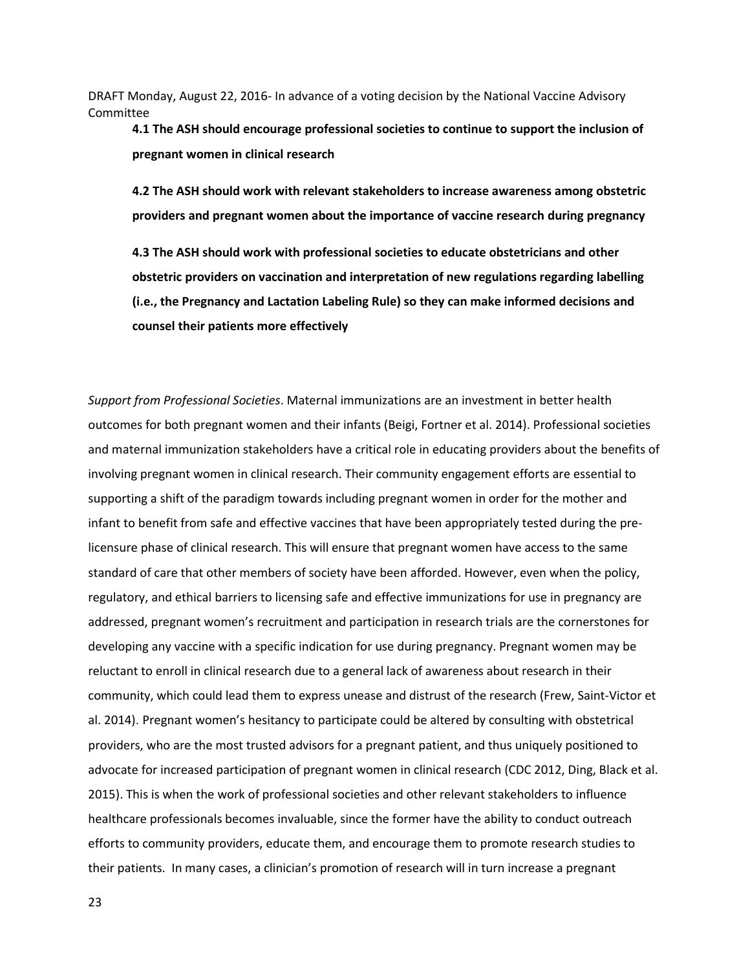**4.1 The ASH should encourage professional societies to continue to support the inclusion of pregnant women in clinical research** 

 **4.2 The ASH should work with relevant stakeholders to increase awareness among obstetric providers and pregnant women about the importance of vaccine research during pregnancy** 

**4.3 The ASH should work with professional societies to educate obstetricians and other obstetric providers on vaccination and interpretation of new regulations regarding labelling (i.e., the Pregnancy and Lactation Labeling Rule) so they can make informed decisions and counsel their patients more effectively** 

 advocate for increased participation of pregnant women in clinical research (CDC 2012, Ding, Black et al. *Support from Professional Societies*. Maternal immunizations are an investment in better health outcomes for both pregnant women and their infants (Beigi, Fortner et al. 2014). Professional societies and maternal immunization stakeholders have a critical role in educating providers about the benefits of involving pregnant women in clinical research. Their community engagement efforts are essential to supporting a shift of the paradigm towards including pregnant women in order for the mother and infant to benefit from safe and effective vaccines that have been appropriately tested during the prelicensure phase of clinical research. This will ensure that pregnant women have access to the same standard of care that other members of society have been afforded. However, even when the policy, regulatory, and ethical barriers to licensing safe and effective immunizations for use in pregnancy are addressed, pregnant women's recruitment and participation in research trials are the cornerstones for developing any vaccine with a specific indication for use during pregnancy. Pregnant women may be reluctant to enroll in clinical research due to a general lack of awareness about research in their community, which could lead them to express unease and distrust of the research (Frew, Saint-Victor et al. 2014). Pregnant women's hesitancy to participate could be altered by consulting with obstetrical providers, who are the most trusted advisors for a pregnant patient, and thus uniquely positioned to 2015). This is when the work of professional societies and other relevant stakeholders to influence healthcare professionals becomes invaluable, since the former have the ability to conduct outreach efforts to community providers, educate them, and encourage them to promote research studies to their patients. In many cases, a clinician's promotion of research will in turn increase a pregnant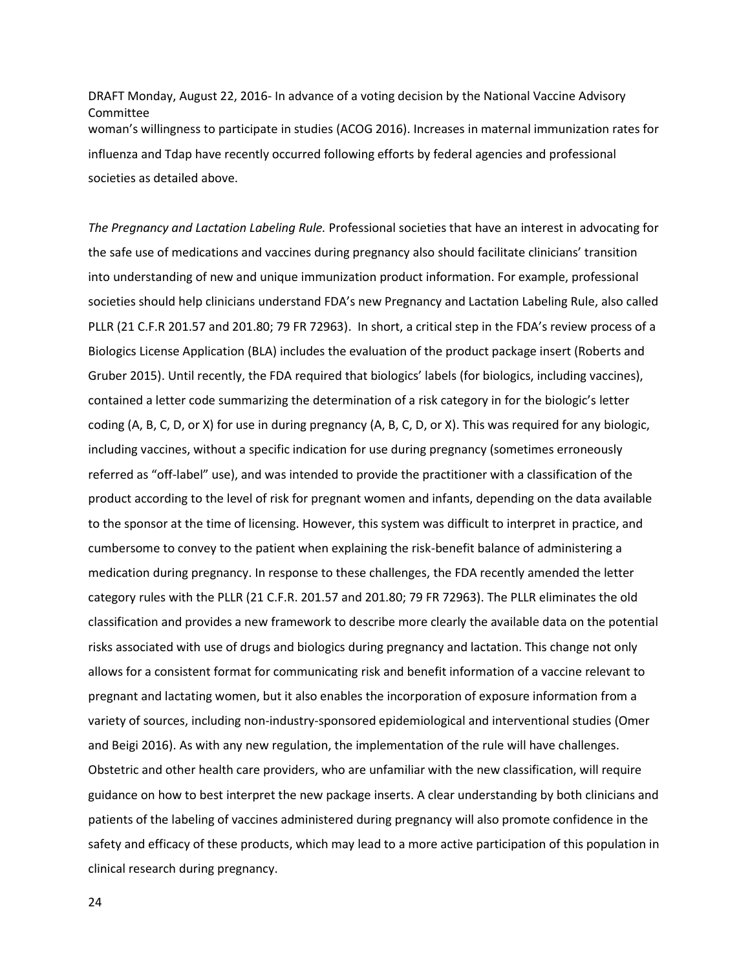DRAFT Monday, August 22, 2016- In advance of a voting decision by the National Vaccine Advisory Committee woman's willingness to participate in studies (ACOG 2016). Increases in maternal immunization rates for influenza and Tdap have recently occurred following efforts by federal agencies and professional societies as detailed above.

PLLR (21 C.F.R 201.57 and 201.80; 79 FR 72963). In short, a critical step in the FDA's review process of a and Beigi 2016). As with any new regulation, the implementation of the rule will have challenges. *The Pregnancy and Lactation Labeling Rule.* Professional societies that have an interest in advocating for the safe use of medications and vaccines during pregnancy also should facilitate clinicians' transition into understanding of new and unique immunization product information. For example, professional societies should help clinicians understand FDA's new Pregnancy and Lactation Labeling Rule, also called Biologics License Application (BLA) includes the evaluation of the product package insert (Roberts and Gruber 2015). Until recently, the FDA required that biologics' labels (for biologics, including vaccines), contained a letter code summarizing the determination of a risk category in for the biologic's letter coding (A, B, C, D, or X) for use in during pregnancy (A, B, C, D, or X). This was required for any biologic, including vaccines, without a specific indication for use during pregnancy (sometimes erroneously referred as "off-label" use), and was intended to provide the practitioner with a classification of the product according to the level of risk for pregnant women and infants, depending on the data available to the sponsor at the time of licensing. However, this system was difficult to interpret in practice, and cumbersome to convey to the patient when explaining the risk-benefit balance of administering a medication during pregnancy. In response to these challenges, the FDA recently amended the letter category rules with the PLLR (21 C.F.R. 201.57 and 201.80; 79 FR 72963). The PLLR eliminates the old classification and provides a new framework to describe more clearly the available data on the potential risks associated with use of drugs and biologics during pregnancy and lactation. This change not only allows for a consistent format for communicating risk and benefit information of a vaccine relevant to pregnant and lactating women, but it also enables the incorporation of exposure information from a variety of sources, including non-industry-sponsored epidemiological and interventional studies (Omer Obstetric and other health care providers, who are unfamiliar with the new classification, will require guidance on how to best interpret the new package inserts. A clear understanding by both clinicians and patients of the labeling of vaccines administered during pregnancy will also promote confidence in the safety and efficacy of these products, which may lead to a more active participation of this population in clinical research during pregnancy.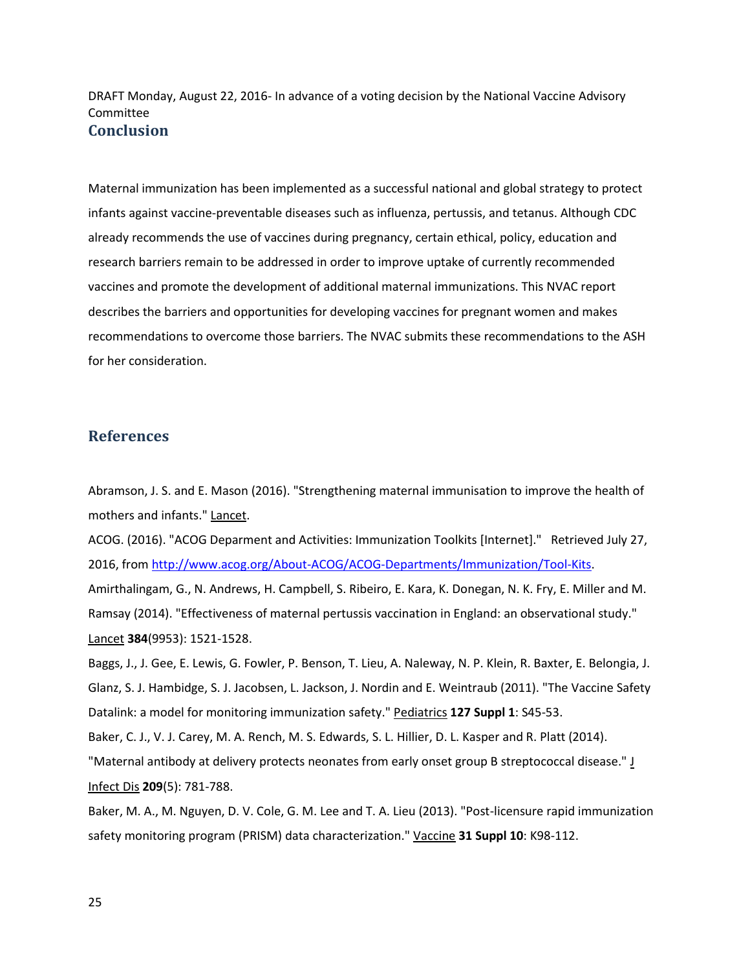Maternal immunization has been implemented as a successful national and global strategy to protect infants against vaccine-preventable diseases such as influenza, pertussis, and tetanus. Although CDC already recommends the use of vaccines during pregnancy, certain ethical, policy, education and research barriers remain to be addressed in order to improve uptake of currently recommended vaccines and promote the development of additional maternal immunizations. This NVAC report describes the barriers and opportunities for developing vaccines for pregnant women and makes recommendations to overcome those barriers. The NVAC submits these recommendations to the ASH for her consideration.

## **References**

Abramson, J. S. and E. Mason (2016). "Strengthening maternal immunisation to improve the health of mothers and infants." Lancet.

 ACOG. (2016). "ACOG Deparment and Activities: Immunization Toolkits [Internet]." Retrieved July 27, 2016, from [http://www.acog.org/About-ACOG/ACOG-Departments/Immunization/Tool-Kits.](http://www.acog.org/About-ACOG/ACOG-Departments/Immunization/Tool-Kits) Amirthalingam, G., N. Andrews, H. Campbell, S. Ribeiro, E. Kara, K. Donegan, N. K. Fry, E. Miller and M. Ramsay (2014). "Effectiveness of maternal pertussis vaccination in England: an observational study."

Lancet **384**(9953): 1521-1528.

Baggs, J., J. Gee, E. Lewis, G. Fowler, P. Benson, T. Lieu, A. Naleway, N. P. Klein, R. Baxter, E. Belongia, J. Glanz, S. J. Hambidge, S. J. Jacobsen, L. Jackson, J. Nordin and E. Weintraub (2011). "The Vaccine Safety Datalink: a model for monitoring immunization safety." Pediatrics **127 Suppl 1**: S45-53.

Baker, C. J., V. J. Carey, M. A. Rench, M. S. Edwards, S. L. Hillier, D. L. Kasper and R. Platt (2014).

"Maternal antibody at delivery protects neonates from early onset group B streptococcal disease." J Infect Dis **209**(5): 781-788.

Baker, M. A., M. Nguyen, D. V. Cole, G. M. Lee and T. A. Lieu (2013). "Post-licensure rapid immunization safety monitoring program (PRISM) data characterization." Vaccine **31 Suppl 10**: K98-112.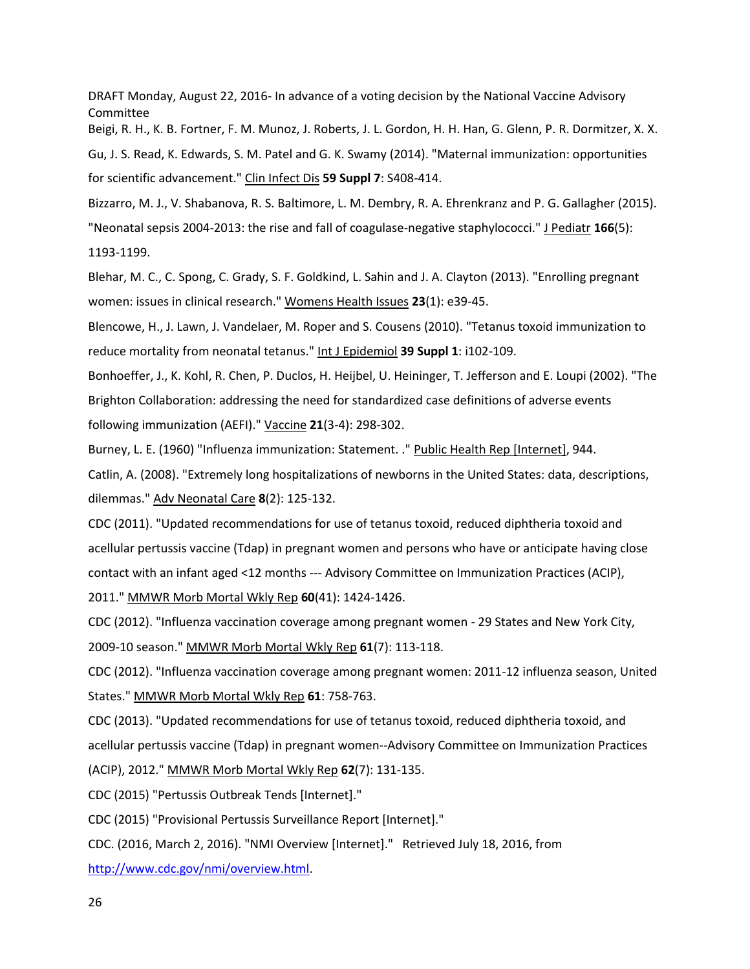Beigi, R. H., K. B. Fortner, F. M. Munoz, J. Roberts, J. L. Gordon, H. H. Han, G. Glenn, P. R. Dormitzer, X. X. Gu, J. S. Read, K. Edwards, S. M. Patel and G. K. Swamy (2014). "Maternal immunization: opportunities for scientific advancement." Clin Infect Dis **59 Suppl 7**: S408-414.

Bizzarro, M. J., V. Shabanova, R. S. Baltimore, L. M. Dembry, R. A. Ehrenkranz and P. G. Gallagher (2015).

"Neonatal sepsis 2004-2013: the rise and fall of coagulase-negative staphylococci." J Pediatr **166**(5): 1193-1199.

Blehar, M. C., C. Spong, C. Grady, S. F. Goldkind, L. Sahin and J. A. Clayton (2013). "Enrolling pregnant women: issues in clinical research." Womens Health Issues **23**(1): e39-45.

Blencowe, H., J. Lawn, J. Vandelaer, M. Roper and S. Cousens (2010). "Tetanus toxoid immunization to reduce mortality from neonatal tetanus." Int J Epidemiol **39 Suppl 1**: i102-109.

Bonhoeffer, J., K. Kohl, R. Chen, P. Duclos, H. Heijbel, U. Heininger, T. Jefferson and E. Loupi (2002). "The Brighton Collaboration: addressing the need for standardized case definitions of adverse events following immunization (AEFI)." Vaccine **21**(3-4): 298-302.

Burney, L. E. (1960) "Influenza immunization: Statement. ." Public Health Rep [Internet], 944.

Catlin, A. (2008). "Extremely long hospitalizations of newborns in the United States: data, descriptions, dilemmas." Adv Neonatal Care **8**(2): 125-132.

CDC (2011). "Updated recommendations for use of tetanus toxoid, reduced diphtheria toxoid and acellular pertussis vaccine (Tdap) in pregnant women and persons who have or anticipate having close contact with an infant aged <12 months --- Advisory Committee on Immunization Practices (ACIP), 2011." MMWR Morb Mortal Wkly Rep **60**(41): 1424-1426.

CDC (2012). "Influenza vaccination coverage among pregnant women - 29 States and New York City, 2009-10 season." MMWR Morb Mortal Wkly Rep **61**(7): 113-118.

CDC (2012). "Influenza vaccination coverage among pregnant women: 2011-12 influenza season, United States." MMWR Morb Mortal Wkly Rep **61**: 758-763.

 acellular pertussis vaccine (Tdap) in pregnant women--Advisory Committee on Immunization Practices CDC (2013). "Updated recommendations for use of tetanus toxoid, reduced diphtheria toxoid, and (ACIP), 2012." MMWR Morb Mortal Wkly Rep **62**(7): 131-135.

CDC (2015) "Pertussis Outbreak Tends [Internet]."

CDC (2015) "Provisional Pertussis Surveillance Report [Internet]."

CDC. (2016, March 2, 2016). "NMI Overview [Internet]." Retrieved July 18, 2016, from

[http://www.cdc.gov/nmi/overview.html.](http://www.cdc.gov/nmi/overview.html)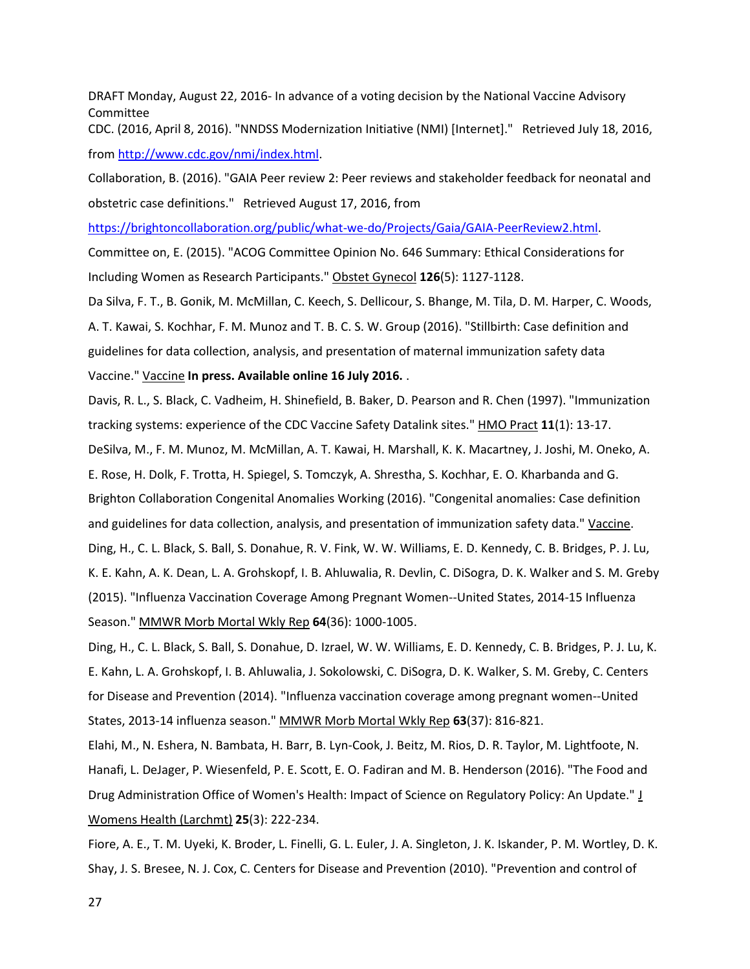CDC. (2016, April 8, 2016). "NNDSS Modernization Initiative (NMI) [Internet]." Retrieved July 18, 2016, from [http://www.cdc.gov/nmi/index.html.](http://www.cdc.gov/nmi/index.html)

 obstetric case definitions." Retrieved August 17, 2016, from Collaboration, B. (2016). "GAIA Peer review 2: Peer reviews and stakeholder feedback for neonatal and

[https://brightoncollaboration.org/public/what-we-do/Projects/Gaia/GAIA-PeerReview2.html.](https://brightoncollaboration.org/public/what-we-do/Projects/Gaia/GAIA-PeerReview2.html)

Committee on, E. (2015). "ACOG Committee Opinion No. 646 Summary: Ethical Considerations for Including Women as Research Participants." Obstet Gynecol **126**(5): 1127-1128.

Da Silva, F. T., B. Gonik, M. McMillan, C. Keech, S. Dellicour, S. Bhange, M. Tila, D. M. Harper, C. Woods, A. T. Kawai, S. Kochhar, F. M. Munoz and T. B. C. S. W. Group (2016). "Stillbirth: Case definition and guidelines for data collection, analysis, and presentation of maternal immunization safety data Vaccine." Vaccine **In press. Available online 16 July 2016.** .

Davis, R. L., S. Black, C. Vadheim, H. Shinefield, B. Baker, D. Pearson and R. Chen (1997). "Immunization tracking systems: experience of the CDC Vaccine Safety Datalink sites." HMO Pract **11**(1): 13-17.

DeSilva, M., F. M. Munoz, M. McMillan, A. T. Kawai, H. Marshall, K. K. Macartney, J. Joshi, M. Oneko, A. E. Rose, H. Dolk, F. Trotta, H. Spiegel, S. Tomczyk, A. Shrestha, S. Kochhar, E. O. Kharbanda and G. Brighton Collaboration Congenital Anomalies Working (2016). "Congenital anomalies: Case definition and guidelines for data collection, analysis, and presentation of immunization safety data." Vaccine. Ding, H., C. L. Black, S. Ball, S. Donahue, R. V. Fink, W. W. Williams, E. D. Kennedy, C. B. Bridges, P. J. Lu, K. E. Kahn, A. K. Dean, L. A. Grohskopf, I. B. Ahluwalia, R. Devlin, C. DiSogra, D. K. Walker and S. M. Greby (2015). "Influenza Vaccination Coverage Among Pregnant Women--United States, 2014-15 Influenza Season." MMWR Morb Mortal Wkly Rep **64**(36): 1000-1005.

Ding, H., C. L. Black, S. Ball, S. Donahue, D. Izrael, W. W. Williams, E. D. Kennedy, C. B. Bridges, P. J. Lu, K. E. Kahn, L. A. Grohskopf, I. B. Ahluwalia, J. Sokolowski, C. DiSogra, D. K. Walker, S. M. Greby, C. Centers for Disease and Prevention (2014). "Influenza vaccination coverage among pregnant women--United States, 2013-14 influenza season." MMWR Morb Mortal Wkly Rep **63**(37): 816-821.

Elahi, M., N. Eshera, N. Bambata, H. Barr, B. Lyn-Cook, J. Beitz, M. Rios, D. R. Taylor, M. Lightfoote, N. Hanafi, L. DeJager, P. Wiesenfeld, P. E. Scott, E. O. Fadiran and M. B. Henderson (2016). "The Food and Drug Administration Office of Women's Health: Impact of Science on Regulatory Policy: An Update." J Womens Health (Larchmt) **25**(3): 222-234.

Fiore, A. E., T. M. Uyeki, K. Broder, L. Finelli, G. L. Euler, J. A. Singleton, J. K. Iskander, P. M. Wortley, D. K. Shay, J. S. Bresee, N. J. Cox, C. Centers for Disease and Prevention (2010). "Prevention and control of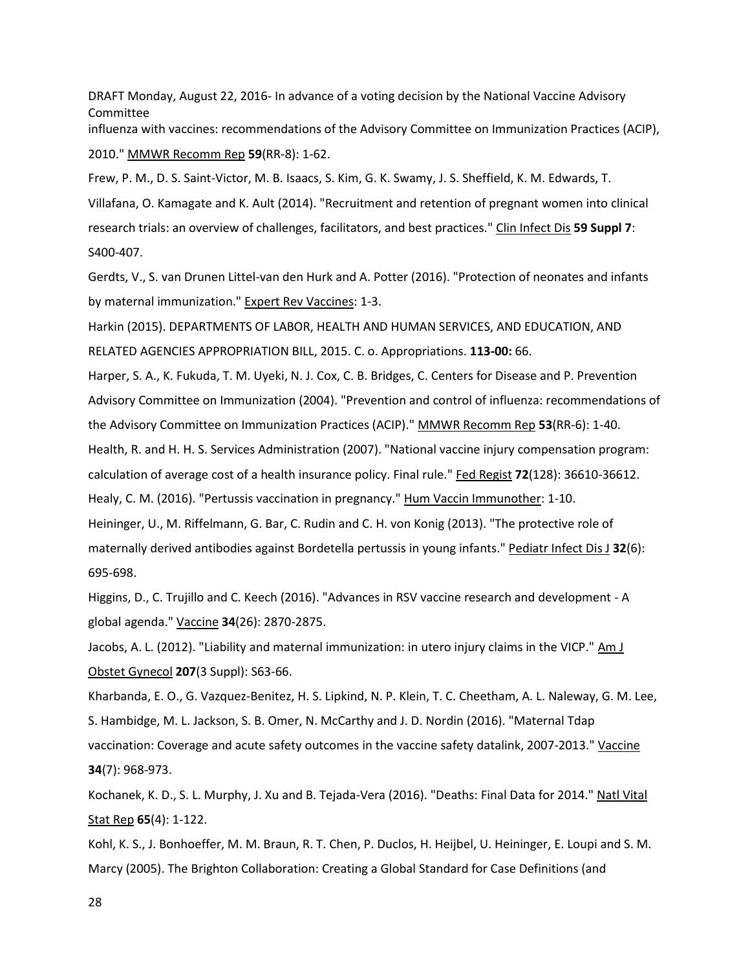DRAFT Monday, August 22, 2016- In advance of a voting decision by the National Vaccine Advisory Committee influenza with vaccines: recommendations of the Advisory Committee on Immunization Practices (ACIP),

2010." MMWR Recomm Rep **59**(RR-8): 1-62.

Frew, P. M., D. S. Saint-Victor, M. B. Isaacs, S. Kim, G. K. Swamy, J. S. Sheffield, K. M. Edwards, T. Villafana, O. Kamagate and K. Ault (2014). "Recruitment and retention of pregnant women into clinical research trials: an overview of challenges, facilitators, and best practices." Clin Infect Dis **59 Suppl 7**: S400-407.

Gerdts, V., S. van Drunen Littel-van den Hurk and A. Potter (2016). "Protection of neonates and infants by maternal immunization." Expert Rev Vaccines: 1-3.

Harkin (2015). DEPARTMENTS OF LABOR, HEALTH AND HUMAN SERVICES, AND EDUCATION, AND RELATED AGENCIES APPROPRIATION BILL, 2015. C. o. Appropriations. **113-00:** 66.

Harper, S. A., K. Fukuda, T. M. Uyeki, N. J. Cox, C. B. Bridges, C. Centers for Disease and P. Prevention Advisory Committee on Immunization (2004). "Prevention and control of influenza: recommendations of the Advisory Committee on Immunization Practices (ACIP)." MMWR Recomm Rep **53**(RR-6): 1-40. Health, R. and H. H. S. Services Administration (2007). "National vaccine injury compensation program: calculation of average cost of a health insurance policy. Final rule." Fed Regist **72**(128): 36610-36612.

Healy, C. M. (2016). "Pertussis vaccination in pregnancy." Hum Vaccin Immunother: 1-10.

Heininger, U., M. Riffelmann, G. Bar, C. Rudin and C. H. von Konig (2013). "The protective role of maternally derived antibodies against Bordetella pertussis in young infants." Pediatr Infect Dis J **32**(6): 695-698.

Higgins, D., C. Trujillo and C. Keech (2016). "Advances in RSV vaccine research and development - A global agenda." Vaccine **34**(26): 2870-2875.

Jacobs, A. L. (2012). "Liability and maternal immunization: in utero injury claims in the VICP." Am J Obstet Gynecol **207**(3 Suppl): S63-66.

Kharbanda, E. O., G. Vazquez-Benitez, H. S. Lipkind, N. P. Klein, T. C. Cheetham, A. L. Naleway, G. M. Lee, S. Hambidge, M. L. Jackson, S. B. Omer, N. McCarthy and J. D. Nordin (2016). "Maternal Tdap vaccination: Coverage and acute safety outcomes in the vaccine safety datalink, 2007-2013." Vaccine **34**(7): 968-973.

Kochanek, K. D., S. L. Murphy, J. Xu and B. Tejada-Vera (2016). "Deaths: Final Data for 2014." Natl Vital Stat Rep **65**(4): 1-122.

Kohl, K. S., J. Bonhoeffer, M. M. Braun, R. T. Chen, P. Duclos, H. Heijbel, U. Heininger, E. Loupi and S. M. Marcy (2005). The Brighton Collaboration: Creating a Global Standard for Case Definitions (and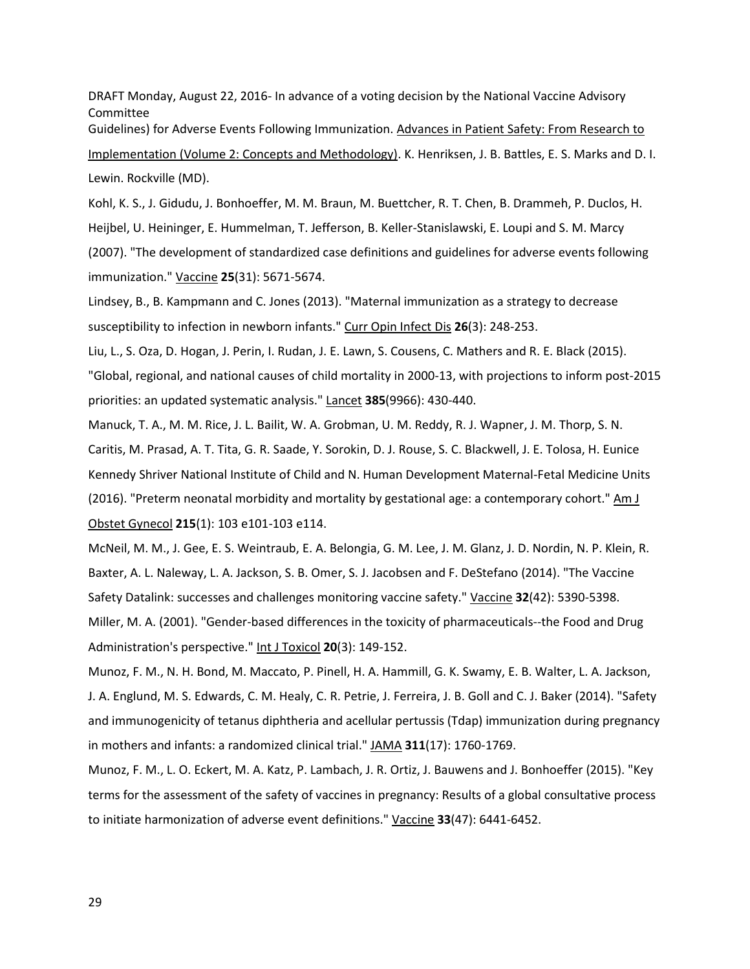Guidelines) for Adverse Events Following Immunization. Advances in Patient Safety: From Research to Implementation (Volume 2: Concepts and Methodology). K. Henriksen, J. B. Battles, E. S. Marks and D. I. Lewin. Rockville (MD).

Kohl, K. S., J. Gidudu, J. Bonhoeffer, M. M. Braun, M. Buettcher, R. T. Chen, B. Drammeh, P. Duclos, H. Heijbel, U. Heininger, E. Hummelman, T. Jefferson, B. Keller-Stanislawski, E. Loupi and S. M. Marcy (2007). "The development of standardized case definitions and guidelines for adverse events following immunization." Vaccine **25**(31): 5671-5674.

Lindsey, B., B. Kampmann and C. Jones (2013). "Maternal immunization as a strategy to decrease susceptibility to infection in newborn infants." Curr Opin Infect Dis **26**(3): 248-253.

Liu, L., S. Oza, D. Hogan, J. Perin, I. Rudan, J. E. Lawn, S. Cousens, C. Mathers and R. E. Black (2015). "Global, regional, and national causes of child mortality in 2000-13, with projections to inform post-2015 priorities: an updated systematic analysis." Lancet **385**(9966): 430-440.

(2016). "Preterm neonatal morbidity and mortality by gestational age: a contemporary cohort." Am J Manuck, T. A., M. M. Rice, J. L. Bailit, W. A. Grobman, U. M. Reddy, R. J. Wapner, J. M. Thorp, S. N. Caritis, M. Prasad, A. T. Tita, G. R. Saade, Y. Sorokin, D. J. Rouse, S. C. Blackwell, J. E. Tolosa, H. Eunice Kennedy Shriver National Institute of Child and N. Human Development Maternal-Fetal Medicine Units Obstet Gynecol **215**(1): 103 e101-103 e114.

McNeil, M. M., J. Gee, E. S. Weintraub, E. A. Belongia, G. M. Lee, J. M. Glanz, J. D. Nordin, N. P. Klein, R. Baxter, A. L. Naleway, L. A. Jackson, S. B. Omer, S. J. Jacobsen and F. DeStefano (2014). "The Vaccine Safety Datalink: successes and challenges monitoring vaccine safety." Vaccine **32**(42): 5390-5398.

 Miller, M. A. (2001). "Gender-based differences in the toxicity of pharmaceuticals--the Food and Drug Administration's perspective." Int J Toxicol **20**(3): 149-152.

Munoz, F. M., N. H. Bond, M. Maccato, P. Pinell, H. A. Hammill, G. K. Swamy, E. B. Walter, L. A. Jackson, J. A. Englund, M. S. Edwards, C. M. Healy, C. R. Petrie, J. Ferreira, J. B. Goll and C. J. Baker (2014). "Safety and immunogenicity of tetanus diphtheria and acellular pertussis (Tdap) immunization during pregnancy in mothers and infants: a randomized clinical trial." JAMA **311**(17): 1760-1769.

Munoz, F. M., L. O. Eckert, M. A. Katz, P. Lambach, J. R. Ortiz, J. Bauwens and J. Bonhoeffer (2015). "Key terms for the assessment of the safety of vaccines in pregnancy: Results of a global consultative process to initiate harmonization of adverse event definitions." Vaccine **33**(47): 6441-6452.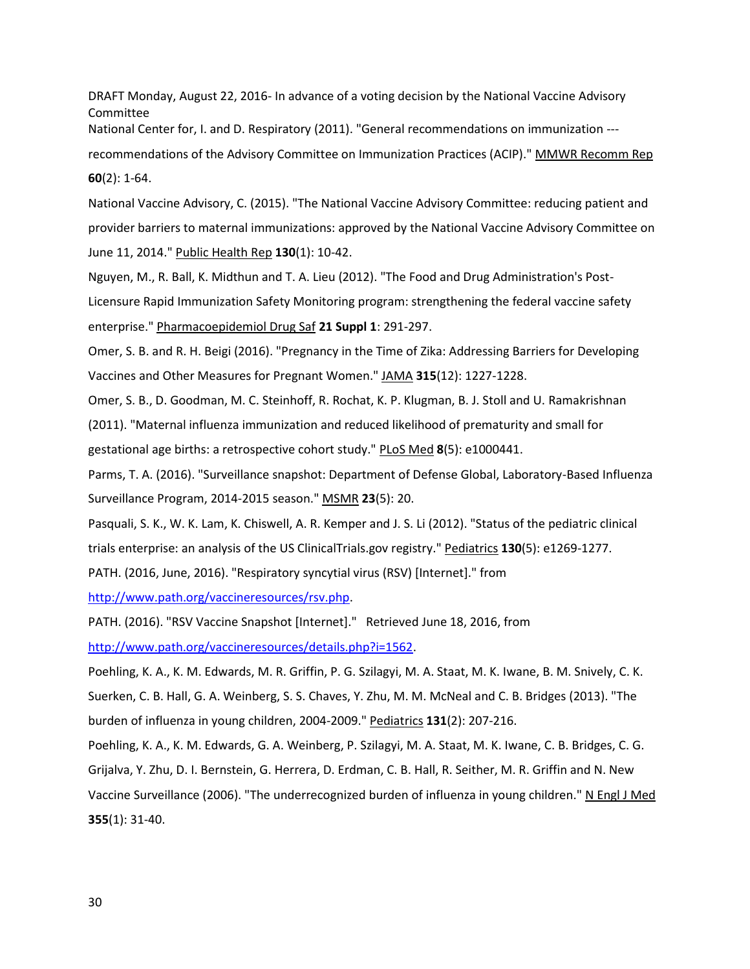National Center for, I. and D. Respiratory (2011). "General recommendations on immunization -- recommendations of the Advisory Committee on Immunization Practices (ACIP)." MMWR Recomm Rep **60**(2): 1-64.

National Vaccine Advisory, C. (2015). "The National Vaccine Advisory Committee: reducing patient and provider barriers to maternal immunizations: approved by the National Vaccine Advisory Committee on June 11, 2014." Public Health Rep **130**(1): 10-42.

Nguyen, M., R. Ball, K. Midthun and T. A. Lieu (2012). "The Food and Drug Administration's Post-Licensure Rapid Immunization Safety Monitoring program: strengthening the federal vaccine safety enterprise." Pharmacoepidemiol Drug Saf **21 Suppl 1**: 291-297.

Omer, S. B. and R. H. Beigi (2016). "Pregnancy in the Time of Zika: Addressing Barriers for Developing Vaccines and Other Measures for Pregnant Women." JAMA **315**(12): 1227-1228.

Omer, S. B., D. Goodman, M. C. Steinhoff, R. Rochat, K. P. Klugman, B. J. Stoll and U. Ramakrishnan

(2011). "Maternal influenza immunization and reduced likelihood of prematurity and small for gestational age births: a retrospective cohort study." PLoS Med **8**(5): e1000441.

Parms, T. A. (2016). "Surveillance snapshot: Department of Defense Global, Laboratory-Based Influenza Surveillance Program, 2014-2015 season." MSMR **23**(5): 20.

Pasquali, S. K., W. K. Lam, K. Chiswell, A. R. Kemper and J. S. Li (2012). "Status of the pediatric clinical trials enterprise: an analysis of the US ClinicalTrials.gov registry." Pediatrics **130**(5): e1269-1277.

PATH. (2016, June, 2016). "Respiratory syncytial virus (RSV) [Internet]." from

[http://www.path.org/vaccineresources/rsv.php.](http://www.path.org/vaccineresources/rsv.php)

PATH. (2016). "RSV Vaccine Snapshot [Internet]." Retrieved June 18, 2016, from

[http://www.path.org/vaccineresources/details.php?i=1562.](http://www.path.org/vaccineresources/details.php?i=1562)

Poehling, K. A., K. M. Edwards, M. R. Griffin, P. G. Szilagyi, M. A. Staat, M. K. Iwane, B. M. Snively, C. K. Suerken, C. B. Hall, G. A. Weinberg, S. S. Chaves, Y. Zhu, M. M. McNeal and C. B. Bridges (2013). "The burden of influenza in young children, 2004-2009." Pediatrics **131**(2): 207-216.

Poehling, K. A., K. M. Edwards, G. A. Weinberg, P. Szilagyi, M. A. Staat, M. K. Iwane, C. B. Bridges, C. G. Grijalva, Y. Zhu, D. I. Bernstein, G. Herrera, D. Erdman, C. B. Hall, R. Seither, M. R. Griffin and N. New Vaccine Surveillance (2006). "The underrecognized burden of influenza in young children." N Engl J Med **355**(1): 31-40.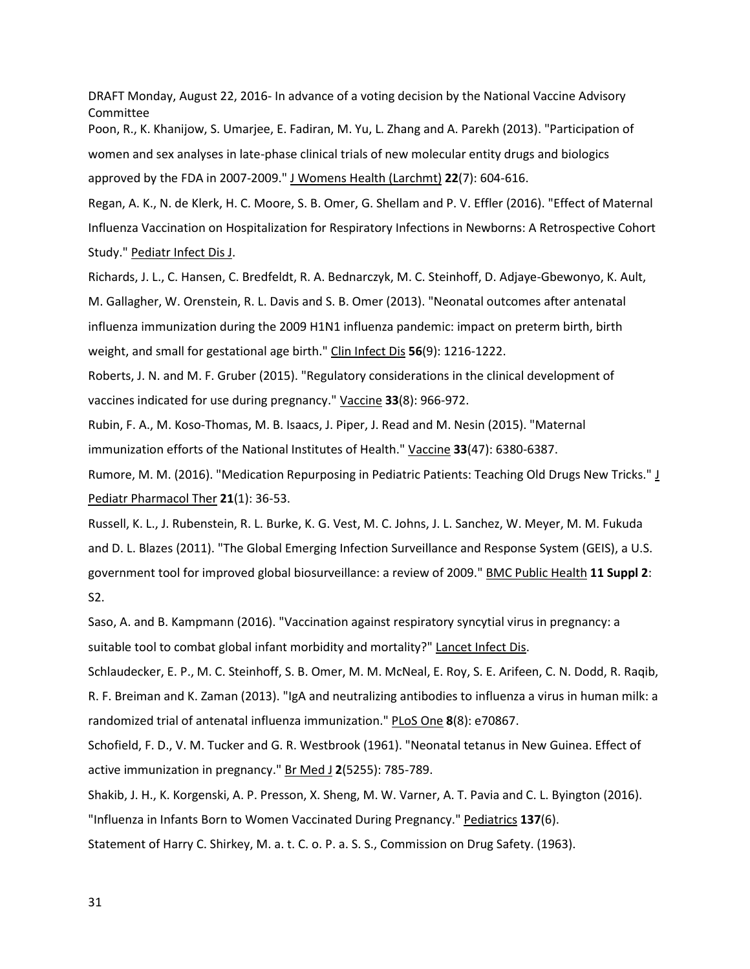women and sex analyses in late-phase clinical trials of new molecular entity drugs and biologics Poon, R., K. Khanijow, S. Umarjee, E. Fadiran, M. Yu, L. Zhang and A. Parekh (2013). "Participation of approved by the FDA in 2007-2009." J Womens Health (Larchmt) **22**(7): 604-616.

Regan, A. K., N. de Klerk, H. C. Moore, S. B. Omer, G. Shellam and P. V. Effler (2016). "Effect of Maternal Influenza Vaccination on Hospitalization for Respiratory Infections in Newborns: A Retrospective Cohort Study." Pediatr Infect Dis J.

Richards, J. L., C. Hansen, C. Bredfeldt, R. A. Bednarczyk, M. C. Steinhoff, D. Adjaye-Gbewonyo, K. Ault, M. Gallagher, W. Orenstein, R. L. Davis and S. B. Omer (2013). "Neonatal outcomes after antenatal influenza immunization during the 2009 H1N1 influenza pandemic: impact on preterm birth, birth weight, and small for gestational age birth." Clin Infect Dis **56**(9): 1216-1222.

Roberts, J. N. and M. F. Gruber (2015). "Regulatory considerations in the clinical development of vaccines indicated for use during pregnancy." Vaccine **33**(8): 966-972.

Rubin, F. A., M. Koso-Thomas, M. B. Isaacs, J. Piper, J. Read and M. Nesin (2015). "Maternal immunization efforts of the National Institutes of Health." Vaccine **33**(47): 6380-6387.

Rumore, M. M. (2016). "Medication Repurposing in Pediatric Patients: Teaching Old Drugs New Tricks." J Pediatr Pharmacol Ther **21**(1): 36-53.

 government tool for improved global biosurveillance: a review of 2009." BMC Public Health **11 Suppl 2**: Russell, K. L., J. Rubenstein, R. L. Burke, K. G. Vest, M. C. Johns, J. L. Sanchez, W. Meyer, M. M. Fukuda and D. L. Blazes (2011). "The Global Emerging Infection Surveillance and Response System (GEIS), a U.S. S2.

Saso, A. and B. Kampmann (2016). "Vaccination against respiratory syncytial virus in pregnancy: a suitable tool to combat global infant morbidity and mortality?" Lancet Infect Dis.

Schlaudecker, E. P., M. C. Steinhoff, S. B. Omer, M. M. McNeal, E. Roy, S. E. Arifeen, C. N. Dodd, R. Raqib, R. F. Breiman and K. Zaman (2013). "IgA and neutralizing antibodies to influenza a virus in human milk: a randomized trial of antenatal influenza immunization." PLoS One **8**(8): e70867.

Schofield, F. D., V. M. Tucker and G. R. Westbrook (1961). "Neonatal tetanus in New Guinea. Effect of active immunization in pregnancy." Br Med J **2**(5255): 785-789.

 Shakib, J. H., K. Korgenski, A. P. Presson, X. Sheng, M. W. Varner, A. T. Pavia and C. L. Byington (2016). Statement of Harry C. Shirkey, M. a. t. C. o. P. a. S. S., Commission on Drug Safety. (1963). "Influenza in Infants Born to Women Vaccinated During Pregnancy." Pediatrics **137**(6).